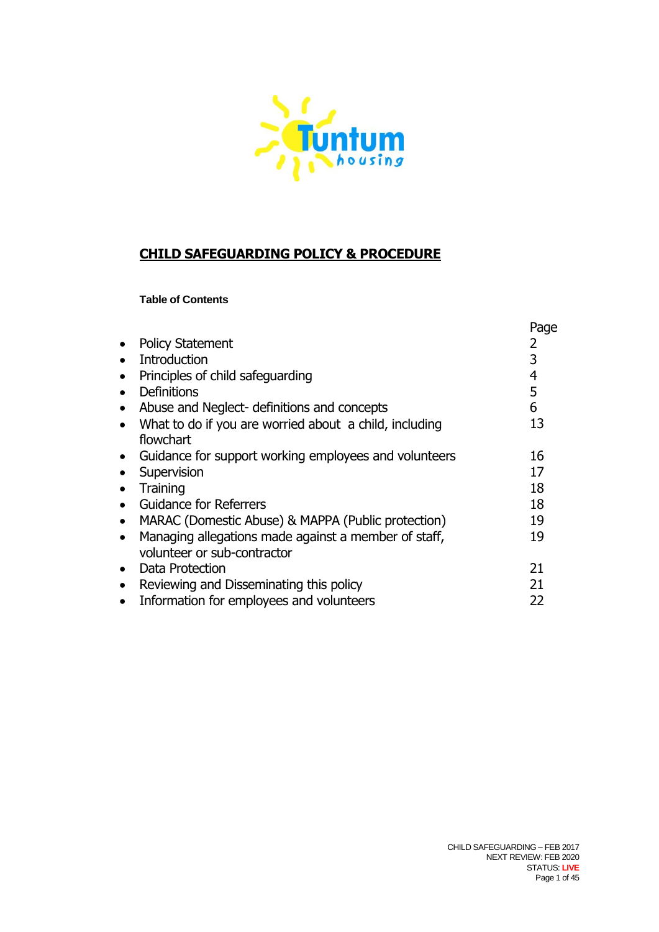

# **CHILD SAFEGUARDING POLICY & PROCEDURE**

#### **Table of Contents**

|           |                                                        | Page |
|-----------|--------------------------------------------------------|------|
| $\bullet$ | <b>Policy Statement</b>                                |      |
| $\bullet$ | <b>Introduction</b>                                    |      |
| $\bullet$ | Principles of child safeguarding                       | 4    |
| $\bullet$ | <b>Definitions</b>                                     | 5    |
| $\bullet$ | Abuse and Neglect- definitions and concepts            | 6    |
| $\bullet$ | What to do if you are worried about a child, including | 13   |
|           | flowchart                                              |      |
| $\bullet$ | Guidance for support working employees and volunteers  | 16   |
|           | Supervision                                            | 17   |
|           | Training                                               | 18   |
| $\bullet$ | <b>Guidance for Referrers</b>                          | 18   |
| $\bullet$ | MARAC (Domestic Abuse) & MAPPA (Public protection)     | 19   |
| $\bullet$ | Managing allegations made against a member of staff,   | 19   |
|           | volunteer or sub-contractor                            |      |
| $\bullet$ | Data Protection                                        | 21   |
| $\bullet$ | Reviewing and Disseminating this policy                | 21   |
| $\bullet$ | Information for employees and volunteers               | 22   |
|           |                                                        |      |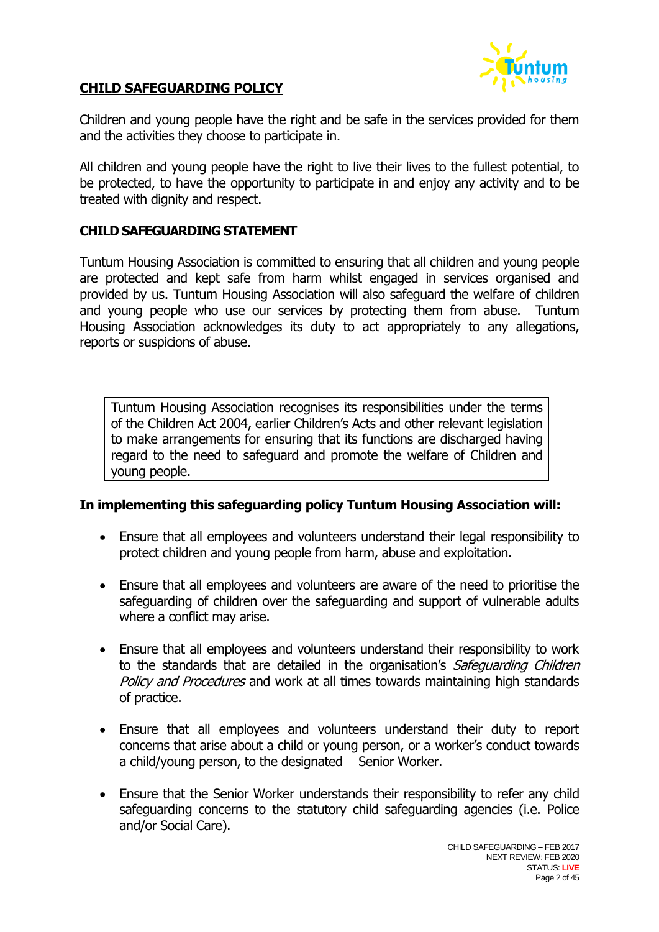

#### **CHILD SAFEGUARDING POLICY**

Children and young people have the right and be safe in the services provided for them and the activities they choose to participate in.

All children and young people have the right to live their lives to the fullest potential, to be protected, to have the opportunity to participate in and enjoy any activity and to be treated with dignity and respect.

#### **CHILD SAFEGUARDING STATEMENT**

Tuntum Housing Association is committed to ensuring that all children and young people are protected and kept safe from harm whilst engaged in services organised and provided by us. Tuntum Housing Association will also safeguard the welfare of children and young people who use our services by protecting them from abuse. Tuntum Housing Association acknowledges its duty to act appropriately to any allegations, reports or suspicions of abuse.

Tuntum Housing Association recognises its responsibilities under the terms of the Children Act 2004, earlier Children's Acts and other relevant legislation to make arrangements for ensuring that its functions are discharged having regard to the need to safeguard and promote the welfare of Children and young people.

## **In implementing this safeguarding policy Tuntum Housing Association will:**

- Ensure that all employees and volunteers understand their legal responsibility to protect children and young people from harm, abuse and exploitation.
- Ensure that all employees and volunteers are aware of the need to prioritise the safeguarding of children over the safeguarding and support of vulnerable adults where a conflict may arise.
- Ensure that all employees and volunteers understand their responsibility to work to the standards that are detailed in the organisation's Safeguarding Children Policy and Procedures and work at all times towards maintaining high standards of practice.
- Ensure that all employees and volunteers understand their duty to report concerns that arise about a child or young person, or a worker's conduct towards a child/young person, to the designated Senior Worker.
- Ensure that the Senior Worker understands their responsibility to refer any child safeguarding concerns to the statutory child safeguarding agencies (i.e. Police and/or Social Care).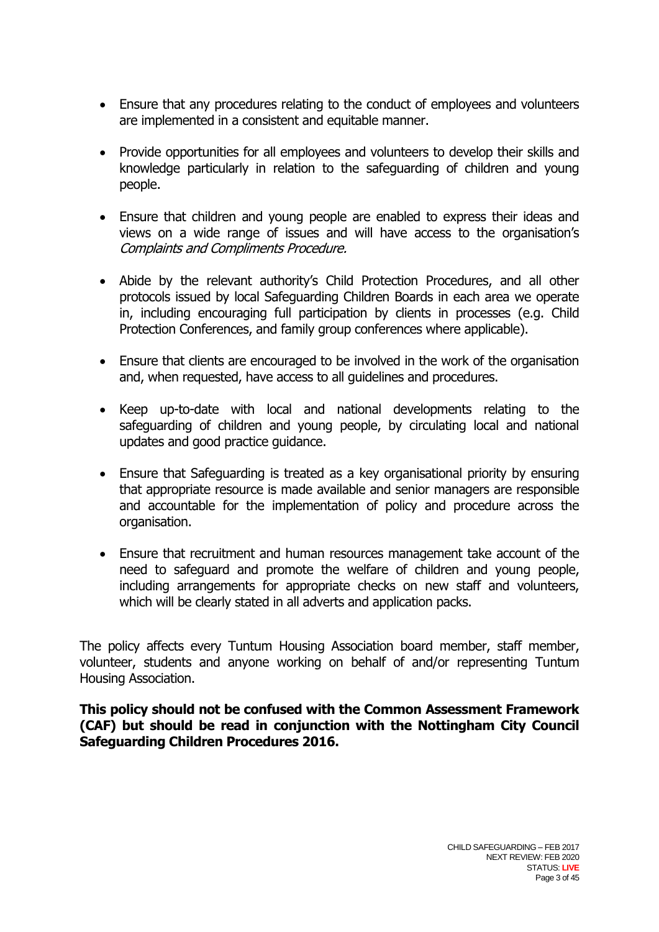- Ensure that any procedures relating to the conduct of employees and volunteers are implemented in a consistent and equitable manner.
- Provide opportunities for all employees and volunteers to develop their skills and knowledge particularly in relation to the safeguarding of children and young people.
- Ensure that children and young people are enabled to express their ideas and views on a wide range of issues and will have access to the organisation's Complaints and Compliments Procedure.
- Abide by the relevant authority's Child Protection Procedures, and all other protocols issued by local Safeguarding Children Boards in each area we operate in, including encouraging full participation by clients in processes (e.g. Child Protection Conferences, and family group conferences where applicable).
- Ensure that clients are encouraged to be involved in the work of the organisation and, when requested, have access to all guidelines and procedures.
- Keep up-to-date with local and national developments relating to the safeguarding of children and young people, by circulating local and national updates and good practice guidance.
- Ensure that Safeguarding is treated as a key organisational priority by ensuring that appropriate resource is made available and senior managers are responsible and accountable for the implementation of policy and procedure across the organisation.
- Ensure that recruitment and human resources management take account of the need to safeguard and promote the welfare of children and young people, including arrangements for appropriate checks on new staff and volunteers, which will be clearly stated in all adverts and application packs.

The policy affects every Tuntum Housing Association board member, staff member, volunteer, students and anyone working on behalf of and/or representing Tuntum Housing Association.

**This policy should not be confused with the Common Assessment Framework (CAF) but should be read in conjunction with the Nottingham City Council Safeguarding Children Procedures 2016.**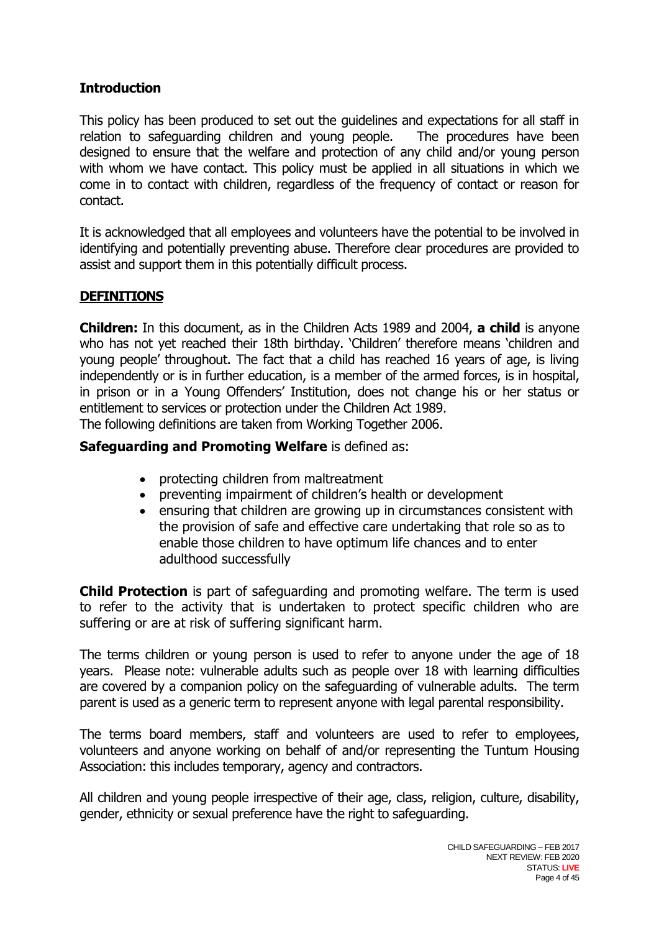## **Introduction**

This policy has been produced to set out the guidelines and expectations for all staff in relation to safeguarding children and young people. The procedures have been designed to ensure that the welfare and protection of any child and/or young person with whom we have contact. This policy must be applied in all situations in which we come in to contact with children, regardless of the frequency of contact or reason for contact.

It is acknowledged that all employees and volunteers have the potential to be involved in identifying and potentially preventing abuse. Therefore clear procedures are provided to assist and support them in this potentially difficult process.

## **DEFINITIONS**

**Children:** In this document, as in the Children Acts 1989 and 2004, **a child** is anyone who has not yet reached their 18th birthday. 'Children' therefore means 'children and young people' throughout. The fact that a child has reached 16 years of age, is living independently or is in further education, is a member of the armed forces, is in hospital, in prison or in a Young Offenders' Institution, does not change his or her status or entitlement to services or protection under the Children Act 1989. The following definitions are taken from Working Together 2006.

**Safeguarding and Promoting Welfare** is defined as:

- protecting children from maltreatment
- preventing impairment of children's health or development
- ensuring that children are growing up in circumstances consistent with the provision of safe and effective care undertaking that role so as to enable those children to have optimum life chances and to enter adulthood successfully

**Child Protection** is part of safeguarding and promoting welfare. The term is used to refer to the activity that is undertaken to protect specific children who are suffering or are at risk of suffering significant harm.

The terms children or young person is used to refer to anyone under the age of 18 years. Please note: vulnerable adults such as people over 18 with learning difficulties are covered by a companion policy on the safeguarding of vulnerable adults. The term parent is used as a generic term to represent anyone with legal parental responsibility.

The terms board members, staff and volunteers are used to refer to employees, volunteers and anyone working on behalf of and/or representing the Tuntum Housing Association: this includes temporary, agency and contractors.

All children and young people irrespective of their age, class, religion, culture, disability, gender, ethnicity or sexual preference have the right to safeguarding.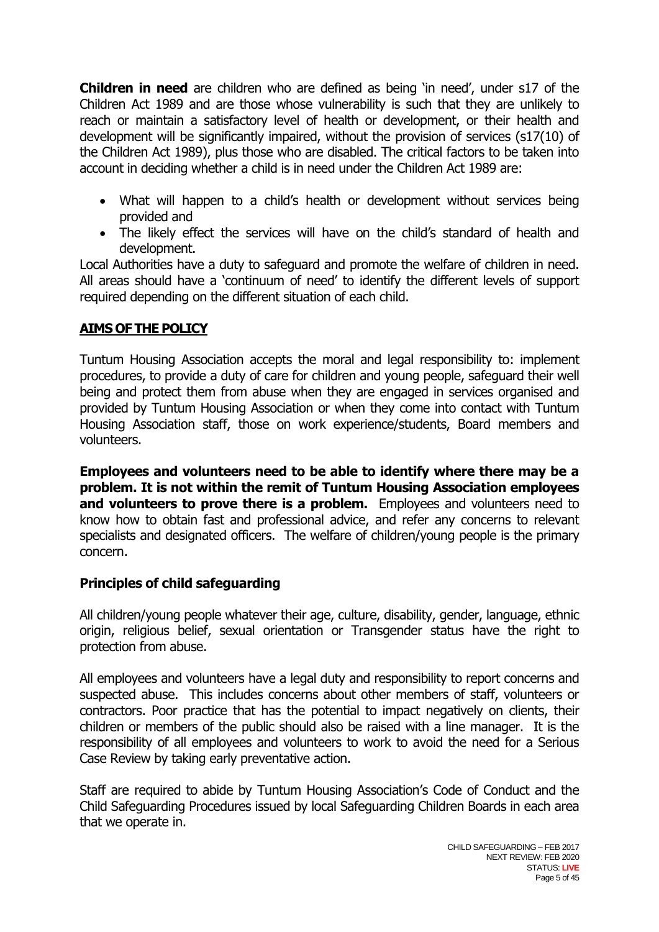**Children in need** are children who are defined as being 'in need', under s17 of the Children Act 1989 and are those whose vulnerability is such that they are unlikely to reach or maintain a satisfactory level of health or development, or their health and development will be significantly impaired, without the provision of services (s17(10) of the Children Act 1989), plus those who are disabled. The critical factors to be taken into account in deciding whether a child is in need under the Children Act 1989 are:

- What will happen to a child's health or development without services being provided and
- The likely effect the services will have on the child's standard of health and development.

Local Authorities have a duty to safeguard and promote the welfare of children in need. All areas should have a 'continuum of need' to identify the different levels of support required depending on the different situation of each child.

## **AIMS OF THE POLICY**

Tuntum Housing Association accepts the moral and legal responsibility to: implement procedures, to provide a duty of care for children and young people, safeguard their well being and protect them from abuse when they are engaged in services organised and provided by Tuntum Housing Association or when they come into contact with Tuntum Housing Association staff, those on work experience/students, Board members and volunteers.

**Employees and volunteers need to be able to identify where there may be a problem. It is not within the remit of Tuntum Housing Association employees and volunteers to prove there is a problem.** Employees and volunteers need to know how to obtain fast and professional advice, and refer any concerns to relevant specialists and designated officers. The welfare of children/young people is the primary concern.

## **Principles of child safeguarding**

All children/young people whatever their age, culture, disability, gender, language, ethnic origin, religious belief, sexual orientation or Transgender status have the right to protection from abuse.

All employees and volunteers have a legal duty and responsibility to report concerns and suspected abuse. This includes concerns about other members of staff, volunteers or contractors. Poor practice that has the potential to impact negatively on clients, their children or members of the public should also be raised with a line manager. It is the responsibility of all employees and volunteers to work to avoid the need for a Serious Case Review by taking early preventative action.

Staff are required to abide by Tuntum Housing Association's Code of Conduct and the Child Safeguarding Procedures issued by local Safeguarding Children Boards in each area that we operate in.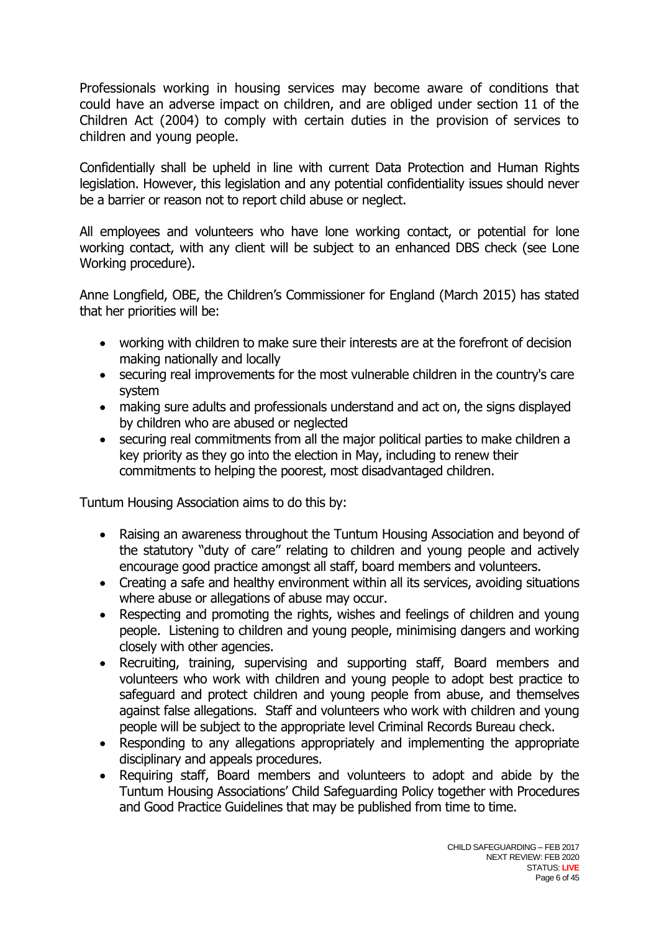Professionals working in housing services may become aware of conditions that could have an adverse impact on children, and are obliged under section 11 of the Children Act (2004) to comply with certain duties in the provision of services to children and young people.

Confidentially shall be upheld in line with current Data Protection and Human Rights legislation. However, this legislation and any potential confidentiality issues should never be a barrier or reason not to report child abuse or neglect.

All employees and volunteers who have lone working contact, or potential for lone working contact, with any client will be subject to an enhanced DBS check (see Lone Working procedure).

Anne Longfield, OBE, the Children's Commissioner for England (March 2015) has stated that her priorities will be:

- working with children to make sure their interests are at the forefront of decision making nationally and locally
- securing real improvements for the most vulnerable children in the country's care system
- making sure adults and professionals understand and act on, the signs displayed by children who are abused or neglected
- securing real commitments from all the major political parties to make children a key priority as they go into the election in May, including to renew their commitments to helping the poorest, most disadvantaged children.

Tuntum Housing Association aims to do this by:

- Raising an awareness throughout the Tuntum Housing Association and beyond of the statutory "duty of care" relating to children and young people and actively encourage good practice amongst all staff, board members and volunteers.
- Creating a safe and healthy environment within all its services, avoiding situations where abuse or allegations of abuse may occur.
- Respecting and promoting the rights, wishes and feelings of children and young people. Listening to children and young people, minimising dangers and working closely with other agencies.
- Recruiting, training, supervising and supporting staff, Board members and volunteers who work with children and young people to adopt best practice to safeguard and protect children and young people from abuse, and themselves against false allegations. Staff and volunteers who work with children and young people will be subject to the appropriate level Criminal Records Bureau check.
- Responding to any allegations appropriately and implementing the appropriate disciplinary and appeals procedures.
- Requiring staff, Board members and volunteers to adopt and abide by the Tuntum Housing Associations' Child Safeguarding Policy together with Procedures and Good Practice Guidelines that may be published from time to time.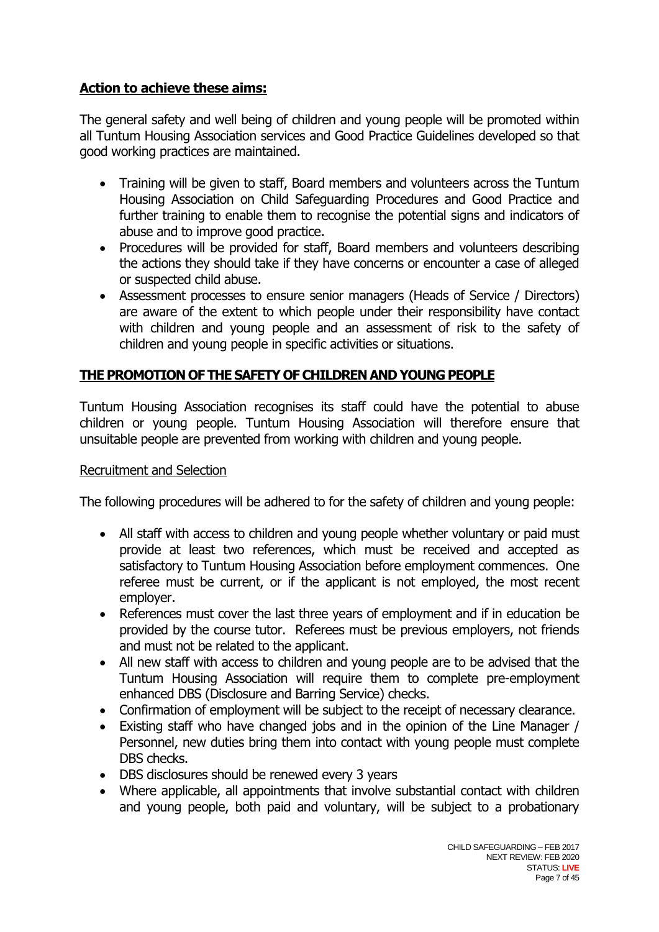## **Action to achieve these aims:**

The general safety and well being of children and young people will be promoted within all Tuntum Housing Association services and Good Practice Guidelines developed so that good working practices are maintained.

- Training will be given to staff, Board members and volunteers across the Tuntum Housing Association on Child Safeguarding Procedures and Good Practice and further training to enable them to recognise the potential signs and indicators of abuse and to improve good practice.
- Procedures will be provided for staff, Board members and volunteers describing the actions they should take if they have concerns or encounter a case of alleged or suspected child abuse.
- Assessment processes to ensure senior managers (Heads of Service / Directors) are aware of the extent to which people under their responsibility have contact with children and young people and an assessment of risk to the safety of children and young people in specific activities or situations.

## **THE PROMOTION OF THE SAFETY OF CHILDREN AND YOUNG PEOPLE**

Tuntum Housing Association recognises its staff could have the potential to abuse children or young people. Tuntum Housing Association will therefore ensure that unsuitable people are prevented from working with children and young people.

#### Recruitment and Selection

The following procedures will be adhered to for the safety of children and young people:

- All staff with access to children and young people whether voluntary or paid must provide at least two references, which must be received and accepted as satisfactory to Tuntum Housing Association before employment commences. One referee must be current, or if the applicant is not employed, the most recent employer.
- References must cover the last three years of employment and if in education be provided by the course tutor. Referees must be previous employers, not friends and must not be related to the applicant.
- All new staff with access to children and young people are to be advised that the Tuntum Housing Association will require them to complete pre-employment enhanced DBS (Disclosure and Barring Service) checks.
- Confirmation of employment will be subject to the receipt of necessary clearance.
- Existing staff who have changed jobs and in the opinion of the Line Manager / Personnel, new duties bring them into contact with young people must complete DBS checks.
- DBS disclosures should be renewed every 3 years
- Where applicable, all appointments that involve substantial contact with children and young people, both paid and voluntary, will be subject to a probationary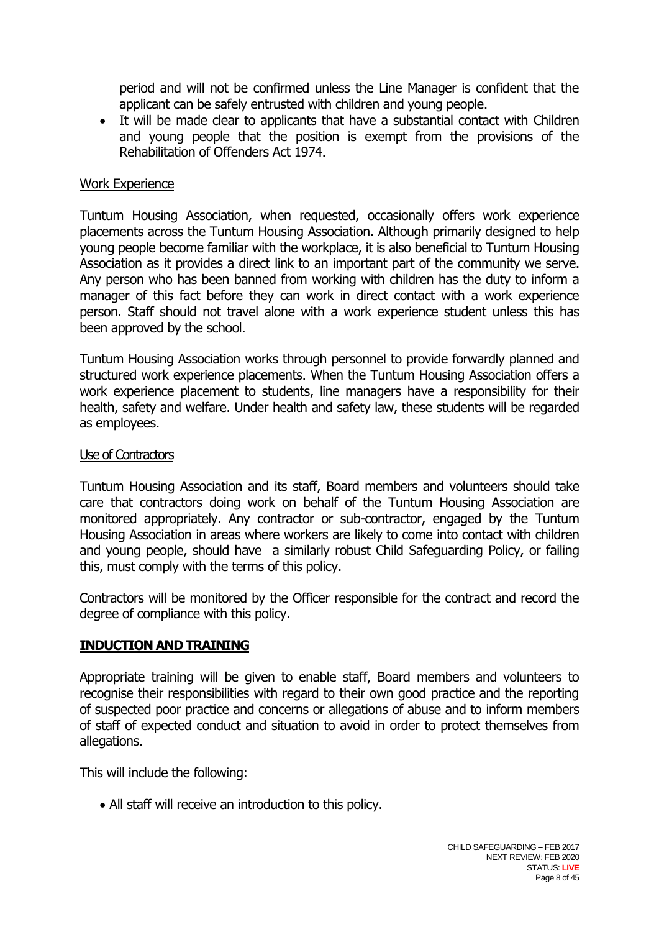period and will not be confirmed unless the Line Manager is confident that the applicant can be safely entrusted with children and young people.

 It will be made clear to applicants that have a substantial contact with Children and young people that the position is exempt from the provisions of the Rehabilitation of Offenders Act 1974.

#### Work Experience

Tuntum Housing Association, when requested, occasionally offers work experience placements across the Tuntum Housing Association. Although primarily designed to help young people become familiar with the workplace, it is also beneficial to Tuntum Housing Association as it provides a direct link to an important part of the community we serve. Any person who has been banned from working with children has the duty to inform a manager of this fact before they can work in direct contact with a work experience person. Staff should not travel alone with a work experience student unless this has been approved by the school.

Tuntum Housing Association works through personnel to provide forwardly planned and structured work experience placements. When the Tuntum Housing Association offers a work experience placement to students, line managers have a responsibility for their health, safety and welfare. Under health and safety law, these students will be regarded as employees.

#### Use of Contractors

Tuntum Housing Association and its staff, Board members and volunteers should take care that contractors doing work on behalf of the Tuntum Housing Association are monitored appropriately. Any contractor or sub-contractor, engaged by the Tuntum Housing Association in areas where workers are likely to come into contact with children and young people, should have a similarly robust Child Safeguarding Policy, or failing this, must comply with the terms of this policy.

Contractors will be monitored by the Officer responsible for the contract and record the degree of compliance with this policy.

## **INDUCTION AND TRAINING**

Appropriate training will be given to enable staff, Board members and volunteers to recognise their responsibilities with regard to their own good practice and the reporting of suspected poor practice and concerns or allegations of abuse and to inform members of staff of expected conduct and situation to avoid in order to protect themselves from allegations.

This will include the following:

All staff will receive an introduction to this policy.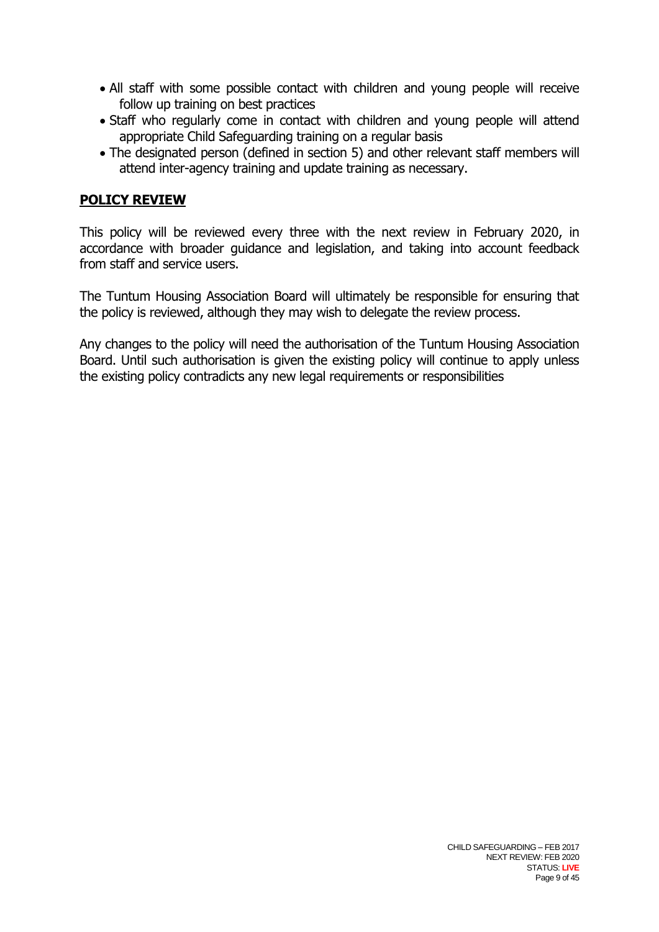- All staff with some possible contact with children and young people will receive follow up training on best practices
- Staff who regularly come in contact with children and young people will attend appropriate Child Safeguarding training on a regular basis
- The designated person (defined in section 5) and other relevant staff members will attend inter-agency training and update training as necessary.

## **POLICY REVIEW**

This policy will be reviewed every three with the next review in February 2020, in accordance with broader guidance and legislation, and taking into account feedback from staff and service users.

The Tuntum Housing Association Board will ultimately be responsible for ensuring that the policy is reviewed, although they may wish to delegate the review process.

Any changes to the policy will need the authorisation of the Tuntum Housing Association Board. Until such authorisation is given the existing policy will continue to apply unless the existing policy contradicts any new legal requirements or responsibilities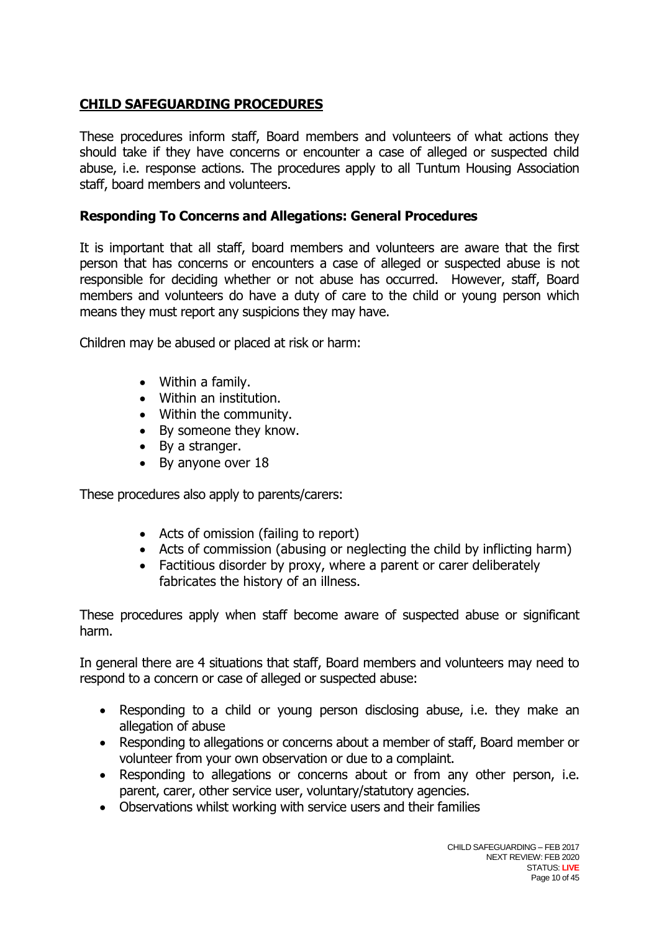# **CHILD SAFEGUARDING PROCEDURES**

These procedures inform staff, Board members and volunteers of what actions they should take if they have concerns or encounter a case of alleged or suspected child abuse, i.e. response actions. The procedures apply to all Tuntum Housing Association staff, board members and volunteers.

## **Responding To Concerns and Allegations: General Procedures**

It is important that all staff, board members and volunteers are aware that the first person that has concerns or encounters a case of alleged or suspected abuse is not responsible for deciding whether or not abuse has occurred. However, staff, Board members and volunteers do have a duty of care to the child or young person which means they must report any suspicions they may have.

Children may be abused or placed at risk or harm:

- Within a family.
- Within an institution.
- Within the community.
- By someone they know.
- By a stranger.
- By anyone over 18

These procedures also apply to parents/carers:

- Acts of omission (failing to report)
- Acts of commission (abusing or neglecting the child by inflicting harm)
- Factitious disorder by proxy, where a parent or carer deliberately fabricates the history of an illness.

These procedures apply when staff become aware of suspected abuse or significant harm.

In general there are 4 situations that staff, Board members and volunteers may need to respond to a concern or case of alleged or suspected abuse:

- Responding to a child or young person disclosing abuse, i.e. they make an allegation of abuse
- Responding to allegations or concerns about a member of staff, Board member or volunteer from your own observation or due to a complaint.
- Responding to allegations or concerns about or from any other person, i.e. parent, carer, other service user, voluntary/statutory agencies.
- Observations whilst working with service users and their families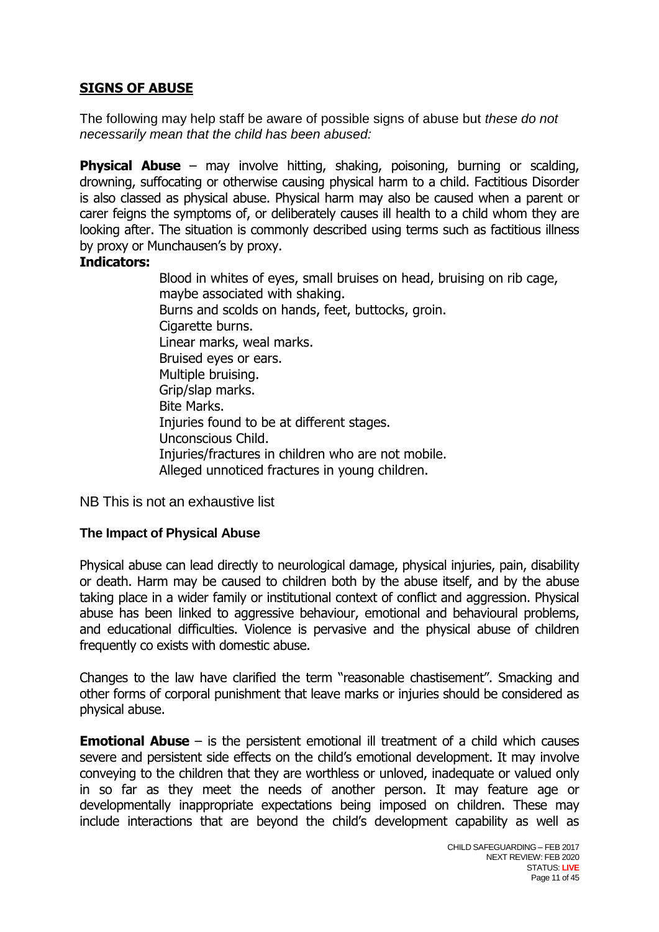## **SIGNS OF ABUSE**

The following may help staff be aware of possible signs of abuse but *these do not necessarily mean that the child has been abused:*

**Physical Abuse** – may involve hitting, shaking, poisoning, burning or scalding, drowning, suffocating or otherwise causing physical harm to a child. Factitious Disorder is also classed as physical abuse. Physical harm may also be caused when a parent or carer feigns the symptoms of, or deliberately causes ill health to a child whom they are looking after. The situation is commonly described using terms such as factitious illness by proxy or Munchausen's by proxy.

#### **Indicators:**

Blood in whites of eyes, small bruises on head, bruising on rib cage, maybe associated with shaking. Burns and scolds on hands, feet, buttocks, groin. Cigarette burns. Linear marks, weal marks. Bruised eyes or ears. Multiple bruising. Grip/slap marks. Bite Marks. Injuries found to be at different stages. Unconscious Child. Injuries/fractures in children who are not mobile. Alleged unnoticed fractures in young children.

NB This is not an exhaustive list

## **The Impact of Physical Abuse**

Physical abuse can lead directly to neurological damage, physical injuries, pain, disability or death. Harm may be caused to children both by the abuse itself, and by the abuse taking place in a wider family or institutional context of conflict and aggression. Physical abuse has been linked to aggressive behaviour, emotional and behavioural problems, and educational difficulties. Violence is pervasive and the physical abuse of children frequently co exists with domestic abuse.

Changes to the law have clarified the term "reasonable chastisement". Smacking and other forms of corporal punishment that leave marks or injuries should be considered as physical abuse.

**Emotional Abuse** – is the persistent emotional ill treatment of a child which causes severe and persistent side effects on the child's emotional development. It may involve conveying to the children that they are worthless or unloved, inadequate or valued only in so far as they meet the needs of another person. It may feature age or developmentally inappropriate expectations being imposed on children. These may include interactions that are beyond the child's development capability as well as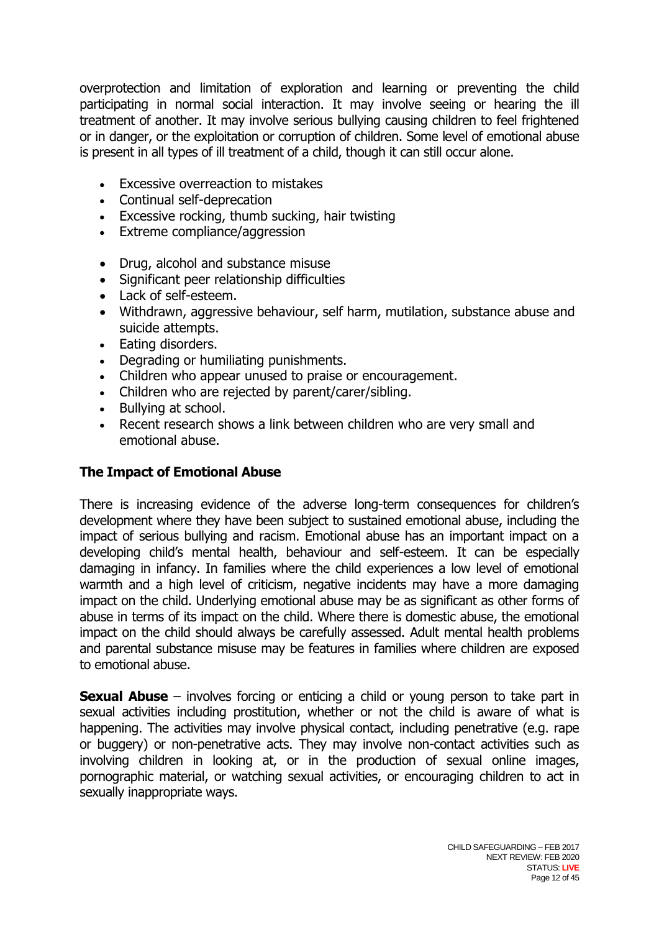overprotection and limitation of exploration and learning or preventing the child participating in normal social interaction. It may involve seeing or hearing the ill treatment of another. It may involve serious bullying causing children to feel frightened or in danger, or the exploitation or corruption of children. Some level of emotional abuse is present in all types of ill treatment of a child, though it can still occur alone.

- Excessive overreaction to mistakes
- Continual self-deprecation
- Excessive rocking, thumb sucking, hair twisting
- Extreme compliance/aggression
- Drug, alcohol and substance misuse
- Significant peer relationship difficulties
- Lack of self-esteem.
- Withdrawn, aggressive behaviour, self harm, mutilation, substance abuse and suicide attempts.
- Eating disorders.
- Degrading or humiliating punishments.
- Children who appear unused to praise or encouragement.
- Children who are rejected by parent/carer/sibling.
- Bullving at school.
- Recent research shows a link between children who are very small and emotional abuse.

## **The Impact of Emotional Abuse**

There is increasing evidence of the adverse long-term consequences for children's development where they have been subject to sustained emotional abuse, including the impact of serious bullying and racism. Emotional abuse has an important impact on a developing child's mental health, behaviour and self-esteem. It can be especially damaging in infancy. In families where the child experiences a low level of emotional warmth and a high level of criticism, negative incidents may have a more damaging impact on the child. Underlying emotional abuse may be as significant as other forms of abuse in terms of its impact on the child. Where there is domestic abuse, the emotional impact on the child should always be carefully assessed. Adult mental health problems and parental substance misuse may be features in families where children are exposed to emotional abuse.

**Sexual Abuse** – involves forcing or enticing a child or young person to take part in sexual activities including prostitution, whether or not the child is aware of what is happening. The activities may involve physical contact, including penetrative (e.g. rape or buggery) or non-penetrative acts. They may involve non-contact activities such as involving children in looking at, or in the production of sexual online images, pornographic material, or watching sexual activities, or encouraging children to act in sexually inappropriate ways.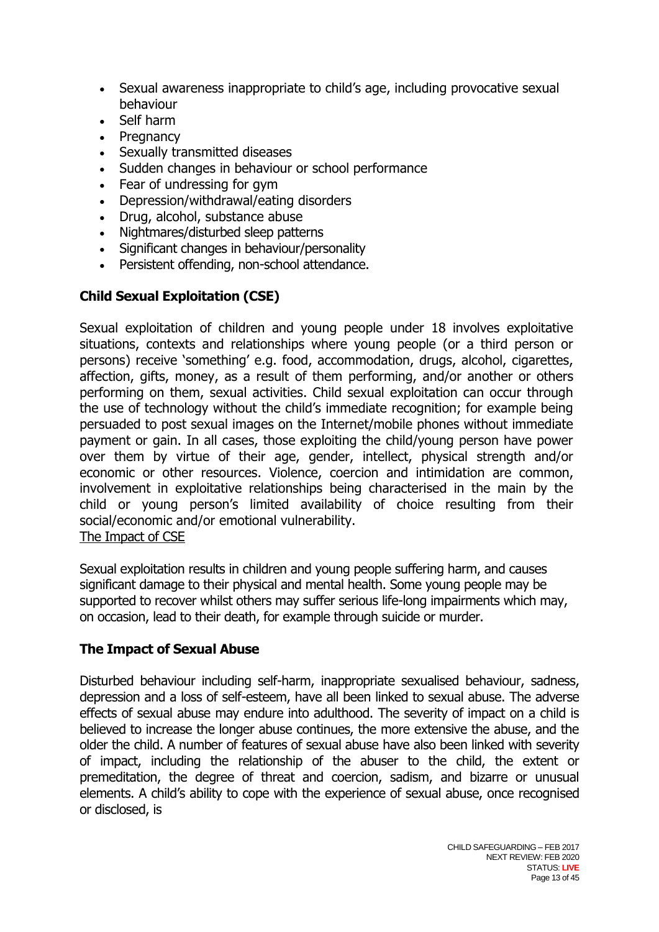- Sexual awareness inappropriate to child's age, including provocative sexual behaviour
- Self harm
- **Pregnancy**
- Sexually transmitted diseases
- Sudden changes in behaviour or school performance
- Fear of undressing for gym
- Depression/withdrawal/eating disorders
- Drug, alcohol, substance abuse
- Nightmares/disturbed sleep patterns
- Significant changes in behaviour/personality
- Persistent offending, non-school attendance.

## **Child Sexual Exploitation (CSE)**

Sexual exploitation of children and young people under 18 involves exploitative situations, contexts and relationships where young people (or a third person or persons) receive 'something' e.g. food, accommodation, drugs, alcohol, cigarettes, affection, gifts, money, as a result of them performing, and/or another or others performing on them, sexual activities. Child sexual exploitation can occur through the use of technology without the child's immediate recognition; for example being persuaded to post sexual images on the Internet/mobile phones without immediate payment or gain. In all cases, those exploiting the child/young person have power over them by virtue of their age, gender, intellect, physical strength and/or economic or other resources. Violence, coercion and intimidation are common, involvement in exploitative relationships being characterised in the main by the child or young person's limited availability of choice resulting from their social/economic and/or emotional vulnerability. The Impact of CSE

Sexual exploitation results in children and young people suffering harm, and causes significant damage to their physical and mental health. Some young people may be supported to recover whilst others may suffer serious life-long impairments which may, on occasion, lead to their death, for example through suicide or murder.

## **The Impact of Sexual Abuse**

Disturbed behaviour including self-harm, inappropriate sexualised behaviour, sadness, depression and a loss of self-esteem, have all been linked to sexual abuse. The adverse effects of sexual abuse may endure into adulthood. The severity of impact on a child is believed to increase the longer abuse continues, the more extensive the abuse, and the older the child. A number of features of sexual abuse have also been linked with severity of impact, including the relationship of the abuser to the child, the extent or premeditation, the degree of threat and coercion, sadism, and bizarre or unusual elements. A child's ability to cope with the experience of sexual abuse, once recognised or disclosed, is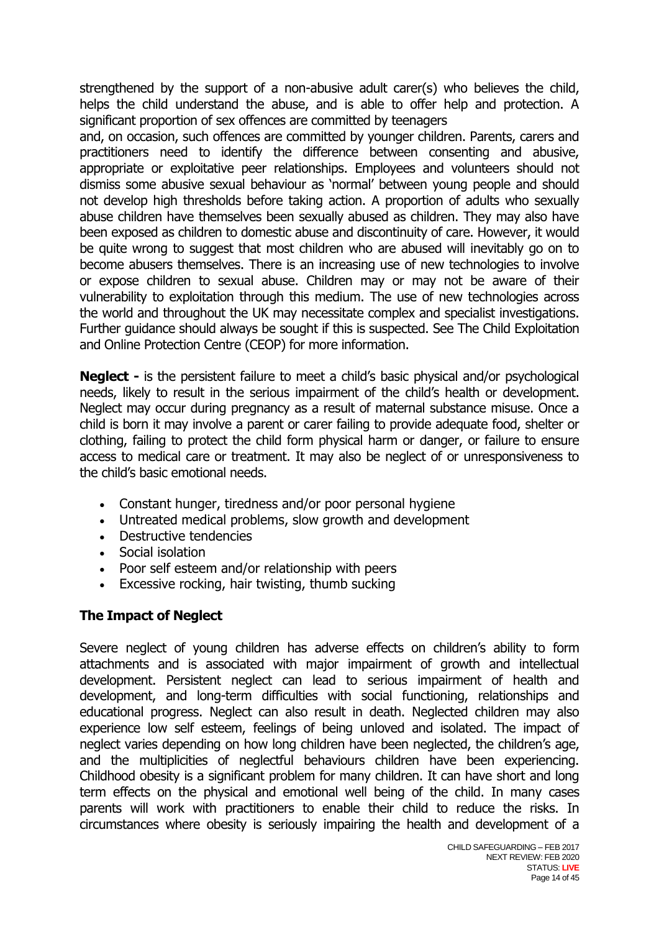strengthened by the support of a non-abusive adult carer(s) who believes the child, helps the child understand the abuse, and is able to offer help and protection. A significant proportion of sex offences are committed by teenagers

and, on occasion, such offences are committed by younger children. Parents, carers and practitioners need to identify the difference between consenting and abusive, appropriate or exploitative peer relationships. Employees and volunteers should not dismiss some abusive sexual behaviour as 'normal' between young people and should not develop high thresholds before taking action. A proportion of adults who sexually abuse children have themselves been sexually abused as children. They may also have been exposed as children to domestic abuse and discontinuity of care. However, it would be quite wrong to suggest that most children who are abused will inevitably go on to become abusers themselves. There is an increasing use of new technologies to involve or expose children to sexual abuse. Children may or may not be aware of their vulnerability to exploitation through this medium. The use of new technologies across the world and throughout the UK may necessitate complex and specialist investigations. Further guidance should always be sought if this is suspected. See The Child Exploitation and Online Protection Centre (CEOP) for more information.

**Neglect -** is the persistent failure to meet a child's basic physical and/or psychological needs, likely to result in the serious impairment of the child's health or development. Neglect may occur during pregnancy as a result of maternal substance misuse. Once a child is born it may involve a parent or carer failing to provide adequate food, shelter or clothing, failing to protect the child form physical harm or danger, or failure to ensure access to medical care or treatment. It may also be neglect of or unresponsiveness to the child's basic emotional needs.

- Constant hunger, tiredness and/or poor personal hygiene
- Untreated medical problems, slow growth and development
- Destructive tendencies
- Social isolation
- Poor self esteem and/or relationship with peers
- Excessive rocking, hair twisting, thumb sucking

## **The Impact of Neglect**

Severe neglect of young children has adverse effects on children's ability to form attachments and is associated with major impairment of growth and intellectual development. Persistent neglect can lead to serious impairment of health and development, and long-term difficulties with social functioning, relationships and educational progress. Neglect can also result in death. Neglected children may also experience low self esteem, feelings of being unloved and isolated. The impact of neglect varies depending on how long children have been neglected, the children's age, and the multiplicities of neglectful behaviours children have been experiencing. Childhood obesity is a significant problem for many children. It can have short and long term effects on the physical and emotional well being of the child. In many cases parents will work with practitioners to enable their child to reduce the risks. In circumstances where obesity is seriously impairing the health and development of a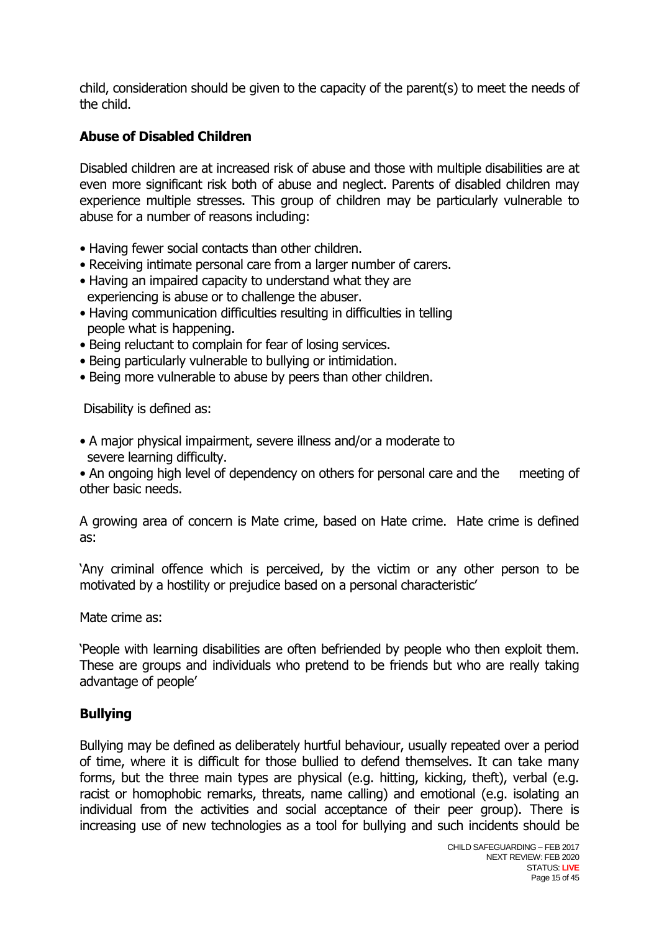child, consideration should be given to the capacity of the parent(s) to meet the needs of the child.

## **Abuse of Disabled Children**

Disabled children are at increased risk of abuse and those with multiple disabilities are at even more significant risk both of abuse and neglect. Parents of disabled children may experience multiple stresses. This group of children may be particularly vulnerable to abuse for a number of reasons including:

- Having fewer social contacts than other children.
- Receiving intimate personal care from a larger number of carers.
- Having an impaired capacity to understand what they are experiencing is abuse or to challenge the abuser.
- Having communication difficulties resulting in difficulties in telling people what is happening.
- Being reluctant to complain for fear of losing services.
- Being particularly vulnerable to bullying or intimidation.
- Being more vulnerable to abuse by peers than other children.

Disability is defined as:

• A major physical impairment, severe illness and/or a moderate to severe learning difficulty.

• An ongoing high level of dependency on others for personal care and the meeting of other basic needs.

A growing area of concern is Mate crime, based on Hate crime. Hate crime is defined as:

'Any criminal offence which is perceived, by the victim or any other person to be motivated by a hostility or prejudice based on a personal characteristic'

Mate crime as:

'People with learning disabilities are often befriended by people who then exploit them. These are groups and individuals who pretend to be friends but who are really taking advantage of people'

## **Bullying**

Bullying may be defined as deliberately hurtful behaviour, usually repeated over a period of time, where it is difficult for those bullied to defend themselves. It can take many forms, but the three main types are physical (e.g. hitting, kicking, theft), verbal (e.g. racist or homophobic remarks, threats, name calling) and emotional (e.g. isolating an individual from the activities and social acceptance of their peer group). There is increasing use of new technologies as a tool for bullying and such incidents should be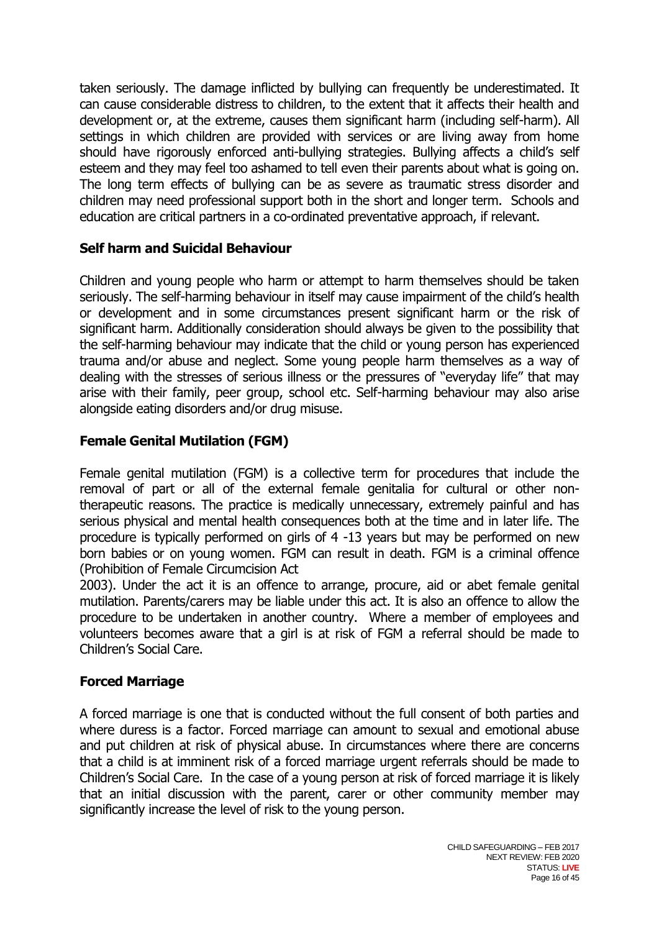taken seriously. The damage inflicted by bullying can frequently be underestimated. It can cause considerable distress to children, to the extent that it affects their health and development or, at the extreme, causes them significant harm (including self-harm). All settings in which children are provided with services or are living away from home should have rigorously enforced anti-bullying strategies. Bullying affects a child's self esteem and they may feel too ashamed to tell even their parents about what is going on. The long term effects of bullying can be as severe as traumatic stress disorder and children may need professional support both in the short and longer term. Schools and education are critical partners in a co-ordinated preventative approach, if relevant.

## **Self harm and Suicidal Behaviour**

Children and young people who harm or attempt to harm themselves should be taken seriously. The self-harming behaviour in itself may cause impairment of the child's health or development and in some circumstances present significant harm or the risk of significant harm. Additionally consideration should always be given to the possibility that the self-harming behaviour may indicate that the child or young person has experienced trauma and/or abuse and neglect. Some young people harm themselves as a way of dealing with the stresses of serious illness or the pressures of "everyday life" that may arise with their family, peer group, school etc. Self-harming behaviour may also arise alongside eating disorders and/or drug misuse.

## **Female Genital Mutilation (FGM)**

Female genital mutilation (FGM) is a collective term for procedures that include the removal of part or all of the external female genitalia for cultural or other nontherapeutic reasons. The practice is medically unnecessary, extremely painful and has serious physical and mental health consequences both at the time and in later life. The procedure is typically performed on girls of 4 -13 years but may be performed on new born babies or on young women. FGM can result in death. FGM is a criminal offence (Prohibition of Female Circumcision Act

2003). Under the act it is an offence to arrange, procure, aid or abet female genital mutilation. Parents/carers may be liable under this act. It is also an offence to allow the procedure to be undertaken in another country. Where a member of employees and volunteers becomes aware that a girl is at risk of FGM a referral should be made to Children's Social Care.

## **Forced Marriage**

A forced marriage is one that is conducted without the full consent of both parties and where duress is a factor. Forced marriage can amount to sexual and emotional abuse and put children at risk of physical abuse. In circumstances where there are concerns that a child is at imminent risk of a forced marriage urgent referrals should be made to Children's Social Care. In the case of a young person at risk of forced marriage it is likely that an initial discussion with the parent, carer or other community member may significantly increase the level of risk to the young person.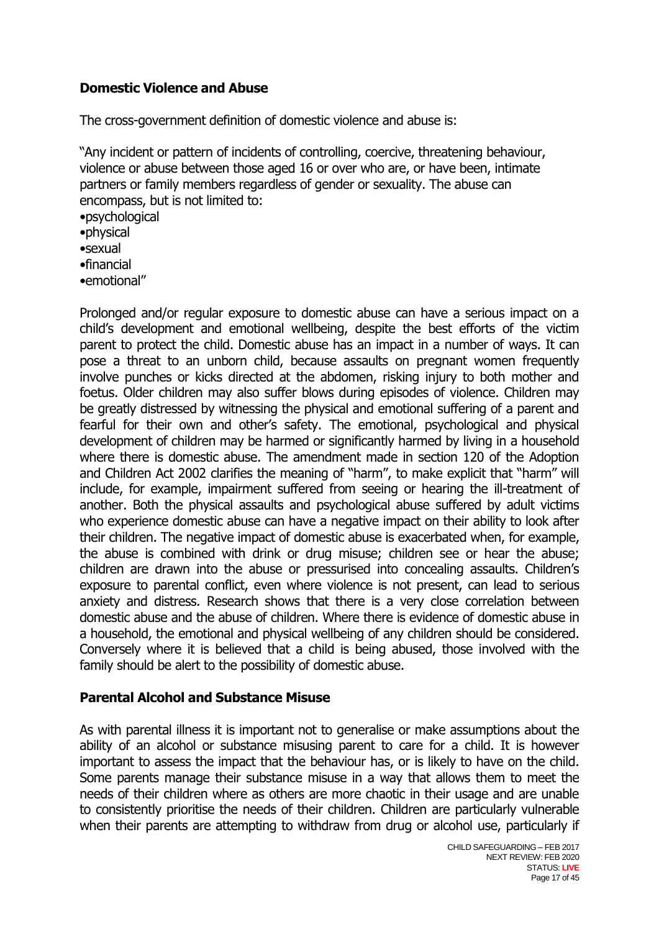## **Domestic Violence and Abuse**

The cross-government definition of domestic violence and abuse is:

"Any incident or pattern of incidents of controlling, coercive, threatening behaviour, violence or abuse between those aged 16 or over who are, or have been, intimate partners or family members regardless of gender or sexuality. The abuse can encompass, but is not limited to: •psychological •physical •sexual •financial •emotional"

Prolonged and/or regular exposure to domestic abuse can have a serious impact on a child's development and emotional wellbeing, despite the best efforts of the victim parent to protect the child. Domestic abuse has an impact in a number of ways. It can pose a threat to an unborn child, because assaults on pregnant women frequently involve punches or kicks directed at the abdomen, risking injury to both mother and foetus. Older children may also suffer blows during episodes of violence. Children may be greatly distressed by witnessing the physical and emotional suffering of a parent and fearful for their own and other's safety. The emotional, psychological and physical development of children may be harmed or significantly harmed by living in a household where there is domestic abuse. The amendment made in section 120 of the Adoption and Children Act 2002 clarifies the meaning of "harm", to make explicit that "harm" will include, for example, impairment suffered from seeing or hearing the ill-treatment of another. Both the physical assaults and psychological abuse suffered by adult victims who experience domestic abuse can have a negative impact on their ability to look after their children. The negative impact of domestic abuse is exacerbated when, for example, the abuse is combined with drink or drug misuse; children see or hear the abuse; children are drawn into the abuse or pressurised into concealing assaults. Children's exposure to parental conflict, even where violence is not present, can lead to serious anxiety and distress. Research shows that there is a very close correlation between domestic abuse and the abuse of children. Where there is evidence of domestic abuse in a household, the emotional and physical wellbeing of any children should be considered. Conversely where it is believed that a child is being abused, those involved with the family should be alert to the possibility of domestic abuse.

## **Parental Alcohol and Substance Misuse**

As with parental illness it is important not to generalise or make assumptions about the ability of an alcohol or substance misusing parent to care for a child. It is however important to assess the impact that the behaviour has, or is likely to have on the child. Some parents manage their substance misuse in a way that allows them to meet the needs of their children where as others are more chaotic in their usage and are unable to consistently prioritise the needs of their children. Children are particularly vulnerable when their parents are attempting to withdraw from drug or alcohol use, particularly if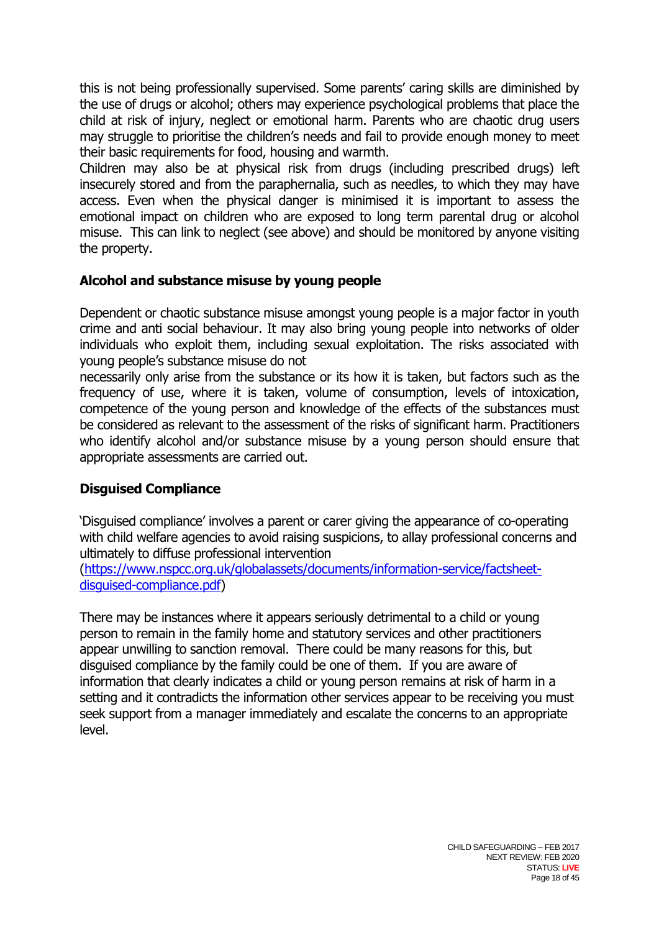this is not being professionally supervised. Some parents' caring skills are diminished by the use of drugs or alcohol; others may experience psychological problems that place the child at risk of injury, neglect or emotional harm. Parents who are chaotic drug users may struggle to prioritise the children's needs and fail to provide enough money to meet their basic requirements for food, housing and warmth.

Children may also be at physical risk from drugs (including prescribed drugs) left insecurely stored and from the paraphernalia, such as needles, to which they may have access. Even when the physical danger is minimised it is important to assess the emotional impact on children who are exposed to long term parental drug or alcohol misuse. This can link to neglect (see above) and should be monitored by anyone visiting the property.

## **Alcohol and substance misuse by young people**

Dependent or chaotic substance misuse amongst young people is a major factor in youth crime and anti social behaviour. It may also bring young people into networks of older individuals who exploit them, including sexual exploitation. The risks associated with young people's substance misuse do not

necessarily only arise from the substance or its how it is taken, but factors such as the frequency of use, where it is taken, volume of consumption, levels of intoxication, competence of the young person and knowledge of the effects of the substances must be considered as relevant to the assessment of the risks of significant harm. Practitioners who identify alcohol and/or substance misuse by a young person should ensure that appropriate assessments are carried out.

## **Disguised Compliance**

'Disguised compliance' involves a parent or carer giving the appearance of co-operating with child welfare agencies to avoid raising suspicions, to allay professional concerns and ultimately to diffuse professional intervention

[\(https://www.nspcc.org.uk/globalassets/documents/information-service/factsheet](https://www.nspcc.org.uk/globalassets/documents/information-service/factsheet-disguised-compliance.pdf)[disguised-compliance.pdf\)](https://www.nspcc.org.uk/globalassets/documents/information-service/factsheet-disguised-compliance.pdf)

There may be instances where it appears seriously detrimental to a child or young person to remain in the family home and statutory services and other practitioners appear unwilling to sanction removal. There could be many reasons for this, but disguised compliance by the family could be one of them. If you are aware of information that clearly indicates a child or young person remains at risk of harm in a setting and it contradicts the information other services appear to be receiving you must seek support from a manager immediately and escalate the concerns to an appropriate level.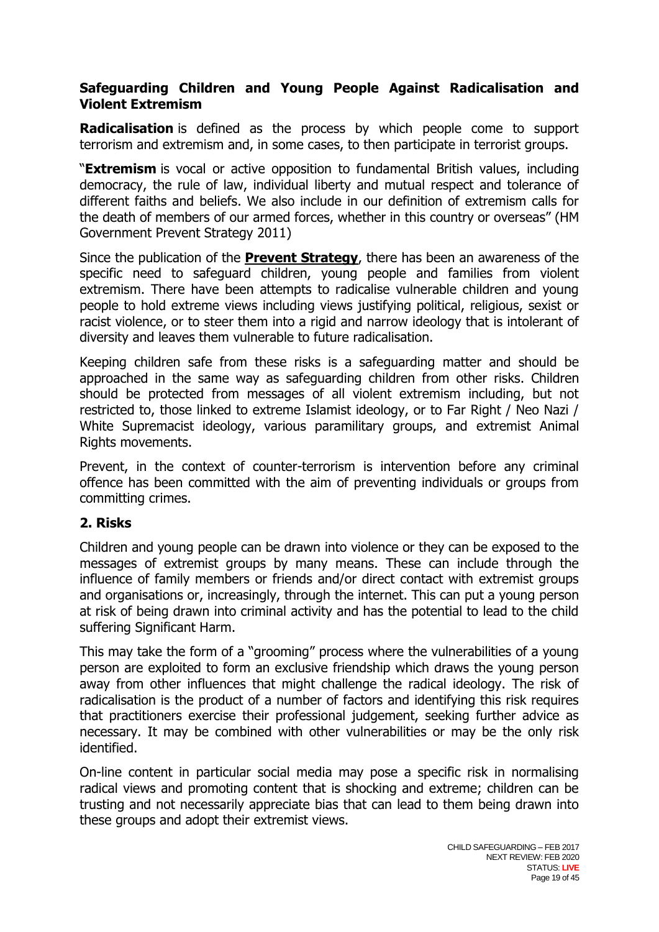## **Safeguarding Children and Young People Against Radicalisation and Violent Extremism**

**Radicalisation** is defined as the process by which people come to support terrorism and extremism and, in some cases, to then participate in terrorist groups.

"**Extremism** is vocal or active opposition to fundamental British values, including democracy, the rule of law, individual liberty and mutual respect and tolerance of different faiths and beliefs. We also include in our definition of extremism calls for the death of members of our armed forces, whether in this country or overseas" (HM Government Prevent Strategy 2011)

Since the publication of the **[Prevent Strategy](http://trixresources.proceduresonline.com/nat_key/keywords/a_prevent.html)**, there has been an awareness of the specific need to safeguard children, young people and families from violent extremism. There have been attempts to radicalise vulnerable children and young people to hold extreme views including views justifying political, religious, sexist or racist violence, or to steer them into a rigid and narrow ideology that is intolerant of diversity and leaves them vulnerable to future radicalisation.

Keeping children safe from these risks is a safeguarding matter and should be approached in the same way as safeguarding children from other risks. Children should be protected from messages of all violent extremism including, but not restricted to, those linked to extreme Islamist ideology, or to Far Right / Neo Nazi / White Supremacist ideology, various paramilitary groups, and extremist Animal Rights movements.

Prevent, in the context of counter-terrorism is intervention before any criminal offence has been committed with the aim of preventing individuals or groups from committing crimes.

## **2. Risks**

Children and young people can be drawn into violence or they can be exposed to the messages of extremist groups by many means. These can include through the influence of family members or friends and/or direct contact with extremist groups and organisations or, increasingly, through the internet. This can put a young person at risk of being drawn into criminal activity and has the potential to lead to the child suffering Significant Harm.

This may take the form of a "grooming" process where the vulnerabilities of a young person are exploited to form an exclusive friendship which draws the young person away from other influences that might challenge the radical ideology. The risk of radicalisation is the product of a number of factors and identifying this risk requires that practitioners exercise their professional judgement, seeking further advice as necessary. It may be combined with other vulnerabilities or may be the only risk identified.

On-line content in particular social media may pose a specific risk in normalising radical views and promoting content that is shocking and extreme; children can be trusting and not necessarily appreciate bias that can lead to them being drawn into these groups and adopt their extremist views.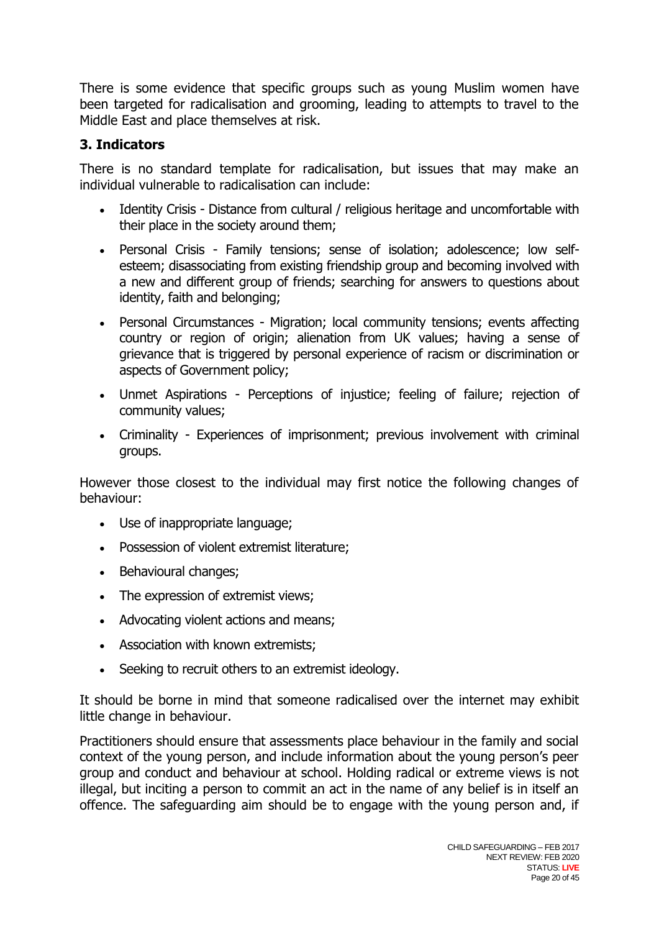There is some evidence that specific groups such as young Muslim women have been targeted for radicalisation and grooming, leading to attempts to travel to the Middle East and place themselves at risk.

# **3. Indicators**

There is no standard template for radicalisation, but issues that may make an individual vulnerable to radicalisation can include:

- Identity Crisis Distance from cultural / religious heritage and uncomfortable with their place in the society around them;
- Personal Crisis Family tensions; sense of isolation; adolescence; low selfesteem; disassociating from existing friendship group and becoming involved with a new and different group of friends; searching for answers to questions about identity, faith and belonging;
- Personal Circumstances Migration; local community tensions; events affecting country or region of origin; alienation from UK values; having a sense of grievance that is triggered by personal experience of racism or discrimination or aspects of Government policy;
- Unmet Aspirations Perceptions of injustice; feeling of failure; rejection of community values;
- Criminality Experiences of imprisonment; previous involvement with criminal groups.

However those closest to the individual may first notice the following changes of behaviour:

- Use of inappropriate language;
- Possession of violent extremist literature;
- Behavioural changes:
- The expression of extremist views;
- Advocating violent actions and means;
- Association with known extremists;
- Seeking to recruit others to an extremist ideology.

It should be borne in mind that someone radicalised over the internet may exhibit little change in behaviour.

Practitioners should ensure that assessments place behaviour in the family and social context of the young person, and include information about the young person's peer group and conduct and behaviour at school. Holding radical or extreme views is not illegal, but inciting a person to commit an act in the name of any belief is in itself an offence. The safeguarding aim should be to engage with the young person and, if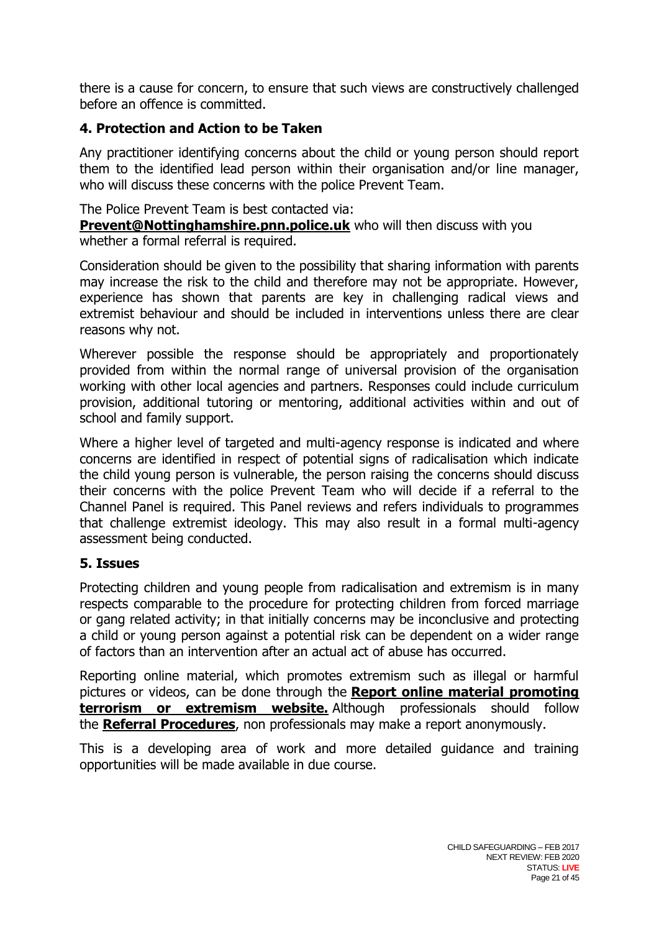there is a cause for concern, to ensure that such views are constructively challenged before an offence is committed.

## **4. Protection and Action to be Taken**

Any practitioner identifying concerns about the child or young person should report them to the identified lead person within their organisation and/or line manager, who will discuss these concerns with the police Prevent Team.

The Police Prevent Team is best contacted via:

**[Prevent@Nottinghamshire.pnn.police.uk](mailto:Prevent@Nottinghamshire.pnn.police.uk)** who will then discuss with you whether a formal referral is required.

Consideration should be given to the possibility that sharing information with parents may increase the risk to the child and therefore may not be appropriate. However, experience has shown that parents are key in challenging radical views and extremist behaviour and should be included in interventions unless there are clear reasons why not.

Wherever possible the response should be appropriately and proportionately provided from within the normal range of universal provision of the organisation working with other local agencies and partners. Responses could include curriculum provision, additional tutoring or mentoring, additional activities within and out of school and family support.

Where a higher level of targeted and multi-agency response is indicated and where concerns are identified in respect of potential signs of radicalisation which indicate the child young person is vulnerable, the person raising the concerns should discuss their concerns with the police Prevent Team who will decide if a referral to the Channel Panel is required. This Panel reviews and refers individuals to programmes that challenge extremist ideology. This may also result in a formal multi-agency assessment being conducted.

## **5. Issues**

Protecting children and young people from radicalisation and extremism is in many respects comparable to the procedure for protecting children from forced marriage or gang related activity; in that initially concerns may be inconclusive and protecting a child or young person against a potential risk can be dependent on a wider range of factors than an intervention after an actual act of abuse has occurred.

Reporting online material, which promotes extremism such as illegal or harmful pictures or videos, can be done through the **[Report online material promoting](https://www.gov.uk/report-terrorism)  [terrorism or extremism website.](https://www.gov.uk/report-terrorism)** Although professionals should follow the **[Referral Procedures](http://nottinghamshirescb.proceduresonline.com/p_referrals.html)**, non professionals may make a report anonymously.

This is a developing area of work and more detailed guidance and training opportunities will be made available in due course.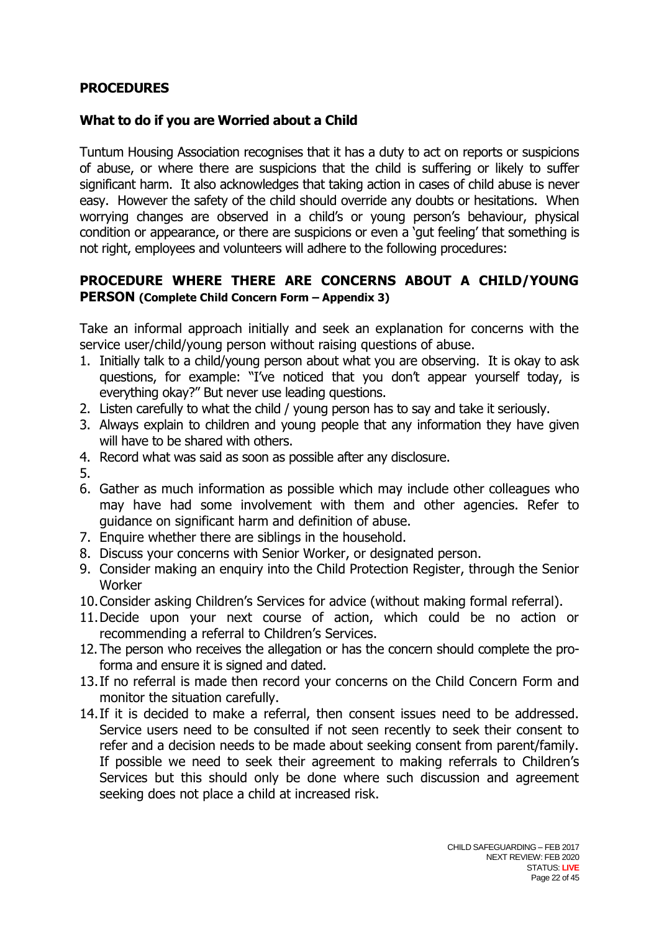## **PROCEDURES**

#### **What to do if you are Worried about a Child**

Tuntum Housing Association recognises that it has a duty to act on reports or suspicions of abuse, or where there are suspicions that the child is suffering or likely to suffer significant harm. It also acknowledges that taking action in cases of child abuse is never easy. However the safety of the child should override any doubts or hesitations. When worrying changes are observed in a child's or young person's behaviour, physical condition or appearance, or there are suspicions or even a 'gut feeling' that something is not right, employees and volunteers will adhere to the following procedures:

## **PROCEDURE WHERE THERE ARE CONCERNS ABOUT A CHILD/YOUNG PERSON (Complete Child Concern Form – Appendix 3)**

Take an informal approach initially and seek an explanation for concerns with the service user/child/young person without raising questions of abuse.

- 1. Initially talk to a child/young person about what you are observing. It is okay to ask questions, for example: "I've noticed that you don't appear yourself today, is everything okay?" But never use leading questions.
- 2. Listen carefully to what the child / young person has to say and take it seriously.
- 3. Always explain to children and young people that any information they have given will have to be shared with others.
- 4. Record what was said as soon as possible after any disclosure.
- 5.
- 6. Gather as much information as possible which may include other colleagues who may have had some involvement with them and other agencies. Refer to guidance on significant harm and definition of abuse.
- 7. Enquire whether there are siblings in the household.
- 8. Discuss your concerns with Senior Worker, or designated person.
- 9. Consider making an enquiry into the Child Protection Register, through the Senior **Worker**
- 10.Consider asking Children's Services for advice (without making formal referral).
- 11.Decide upon your next course of action, which could be no action or recommending a referral to Children's Services.
- 12.The person who receives the allegation or has the concern should complete the proforma and ensure it is signed and dated.
- 13.If no referral is made then record your concerns on the Child Concern Form and monitor the situation carefully.
- 14.If it is decided to make a referral, then consent issues need to be addressed. Service users need to be consulted if not seen recently to seek their consent to refer and a decision needs to be made about seeking consent from parent/family. If possible we need to seek their agreement to making referrals to Children's Services but this should only be done where such discussion and agreement seeking does not place a child at increased risk.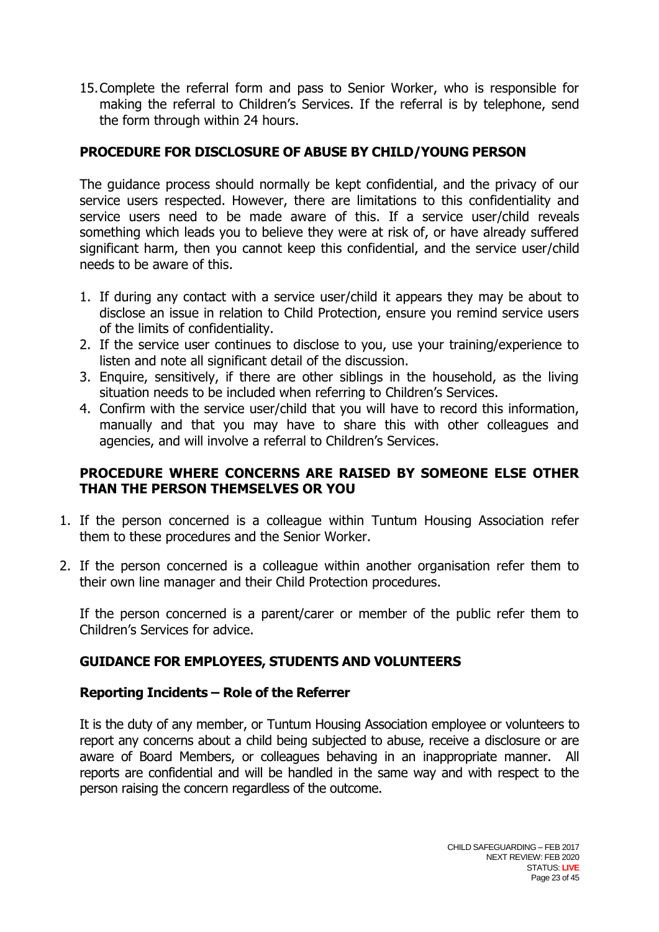15.Complete the referral form and pass to Senior Worker, who is responsible for making the referral to Children's Services. If the referral is by telephone, send the form through within 24 hours.

## **PROCEDURE FOR DISCLOSURE OF ABUSE BY CHILD/YOUNG PERSON**

The guidance process should normally be kept confidential, and the privacy of our service users respected. However, there are limitations to this confidentiality and service users need to be made aware of this. If a service user/child reveals something which leads you to believe they were at risk of, or have already suffered significant harm, then you cannot keep this confidential, and the service user/child needs to be aware of this.

- 1. If during any contact with a service user/child it appears they may be about to disclose an issue in relation to Child Protection, ensure you remind service users of the limits of confidentiality.
- 2. If the service user continues to disclose to you, use your training/experience to listen and note all significant detail of the discussion.
- 3. Enquire, sensitively, if there are other siblings in the household, as the living situation needs to be included when referring to Children's Services.
- 4. Confirm with the service user/child that you will have to record this information, manually and that you may have to share this with other colleagues and agencies, and will involve a referral to Children's Services.

## **PROCEDURE WHERE CONCERNS ARE RAISED BY SOMEONE ELSE OTHER THAN THE PERSON THEMSELVES OR YOU**

- 1. If the person concerned is a colleague within Tuntum Housing Association refer them to these procedures and the Senior Worker.
- 2. If the person concerned is a colleague within another organisation refer them to their own line manager and their Child Protection procedures.

If the person concerned is a parent/carer or member of the public refer them to Children's Services for advice.

## **GUIDANCE FOR EMPLOYEES, STUDENTS AND VOLUNTEERS**

## **Reporting Incidents – Role of the Referrer**

It is the duty of any member, or Tuntum Housing Association employee or volunteers to report any concerns about a child being subjected to abuse, receive a disclosure or are aware of Board Members, or colleagues behaving in an inappropriate manner. All reports are confidential and will be handled in the same way and with respect to the person raising the concern regardless of the outcome.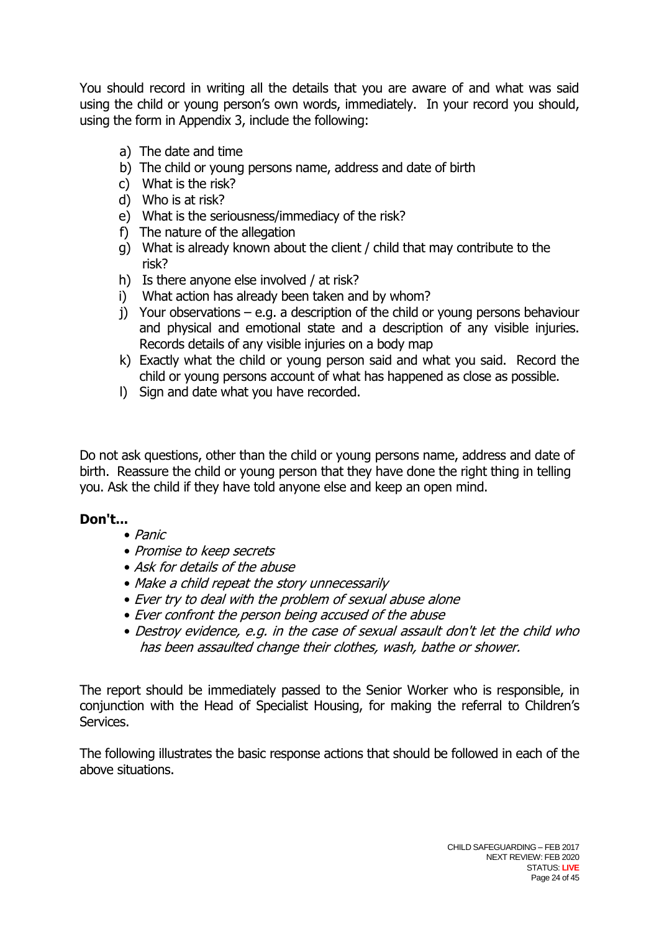You should record in writing all the details that you are aware of and what was said using the child or young person's own words, immediately. In your record you should, using the form in Appendix 3, include the following:

- a) The date and time
- b) The child or young persons name, address and date of birth
- c) What is the risk?
- d) Who is at risk?
- e) What is the seriousness/immediacy of the risk?
- f) The nature of the allegation
- g) What is already known about the client / child that may contribute to the risk?
- h) Is there anyone else involved / at risk?
- i) What action has already been taken and by whom?
- j) Your observations e.g. a description of the child or young persons behaviour and physical and emotional state and a description of any visible injuries. Records details of any visible injuries on a body map
- k) Exactly what the child or young person said and what you said. Record the child or young persons account of what has happened as close as possible.
- l) Sign and date what you have recorded.

Do not ask questions, other than the child or young persons name, address and date of birth. Reassure the child or young person that they have done the right thing in telling you. Ask the child if they have told anyone else and keep an open mind.

## **Don't...**

- Panic
- Promise to keep secrets
- Ask for details of the abuse
- Make a child repeat the story unnecessarily
- Ever try to deal with the problem of sexual abuse alone
- Ever confront the person being accused of the abuse
- Destroy evidence, e.g. in the case of sexual assault don't let the child who has been assaulted change their clothes, wash, bathe or shower.

The report should be immediately passed to the Senior Worker who is responsible, in conjunction with the Head of Specialist Housing, for making the referral to Children's Services.

The following illustrates the basic response actions that should be followed in each of the above situations.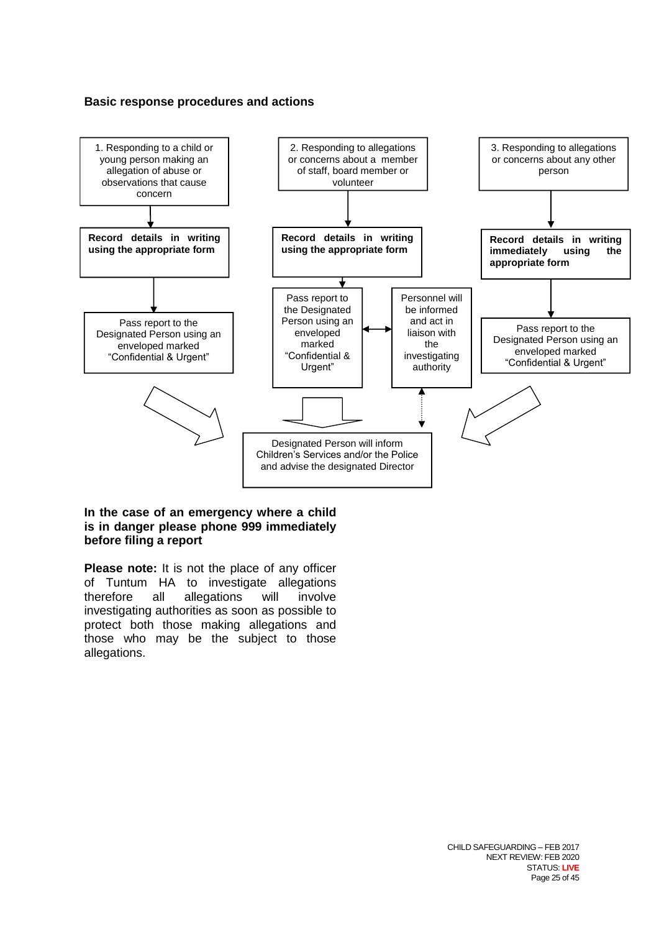#### **Basic response procedures and actions**



#### **In the case of an emergency where a child is in danger please phone 999 immediately before filing a report**

**Please note:** It is not the place of any officer of Tuntum HA to investigate allegations therefore all allegations will involve investigating authorities as soon as possible to protect both those making allegations and those who may be the subject to those allegations.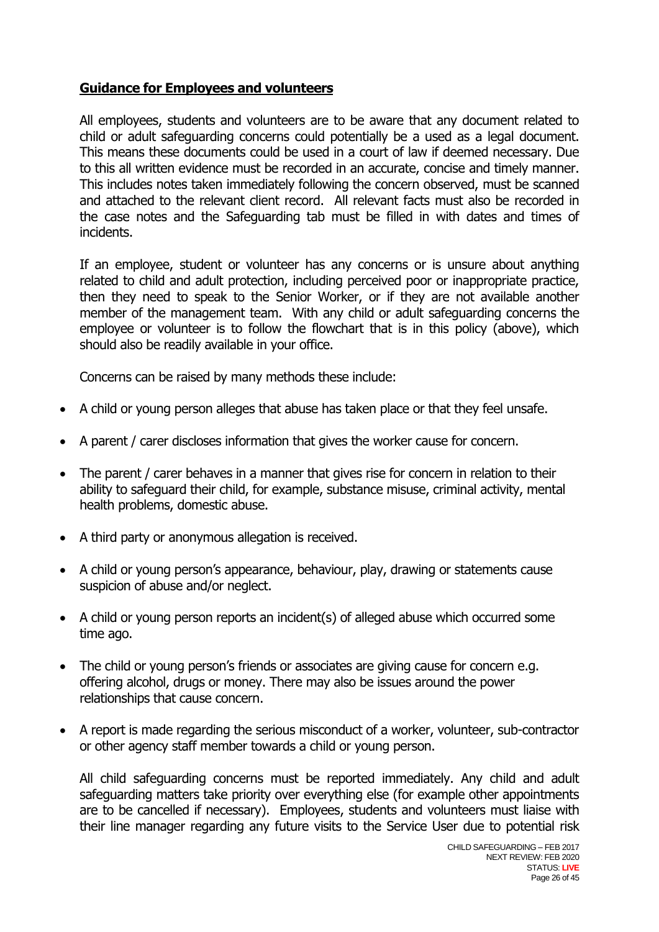## **Guidance for Employees and volunteers**

All employees, students and volunteers are to be aware that any document related to child or adult safeguarding concerns could potentially be a used as a legal document. This means these documents could be used in a court of law if deemed necessary. Due to this all written evidence must be recorded in an accurate, concise and timely manner. This includes notes taken immediately following the concern observed, must be scanned and attached to the relevant client record. All relevant facts must also be recorded in the case notes and the Safeguarding tab must be filled in with dates and times of incidents.

If an employee, student or volunteer has any concerns or is unsure about anything related to child and adult protection, including perceived poor or inappropriate practice, then they need to speak to the Senior Worker, or if they are not available another member of the management team. With any child or adult safeguarding concerns the employee or volunteer is to follow the flowchart that is in this policy (above), which should also be readily available in your office.

Concerns can be raised by many methods these include:

- A child or young person alleges that abuse has taken place or that they feel unsafe.
- A parent / carer discloses information that gives the worker cause for concern.
- The parent / carer behaves in a manner that gives rise for concern in relation to their ability to safeguard their child, for example, substance misuse, criminal activity, mental health problems, domestic abuse.
- A third party or anonymous allegation is received.
- A child or young person's appearance, behaviour, play, drawing or statements cause suspicion of abuse and/or neglect.
- A child or young person reports an incident(s) of alleged abuse which occurred some time ago.
- The child or young person's friends or associates are giving cause for concern e.g. offering alcohol, drugs or money. There may also be issues around the power relationships that cause concern.
- A report is made regarding the serious misconduct of a worker, volunteer, sub-contractor or other agency staff member towards a child or young person.

All child safeguarding concerns must be reported immediately. Any child and adult safeguarding matters take priority over everything else (for example other appointments are to be cancelled if necessary). Employees, students and volunteers must liaise with their line manager regarding any future visits to the Service User due to potential risk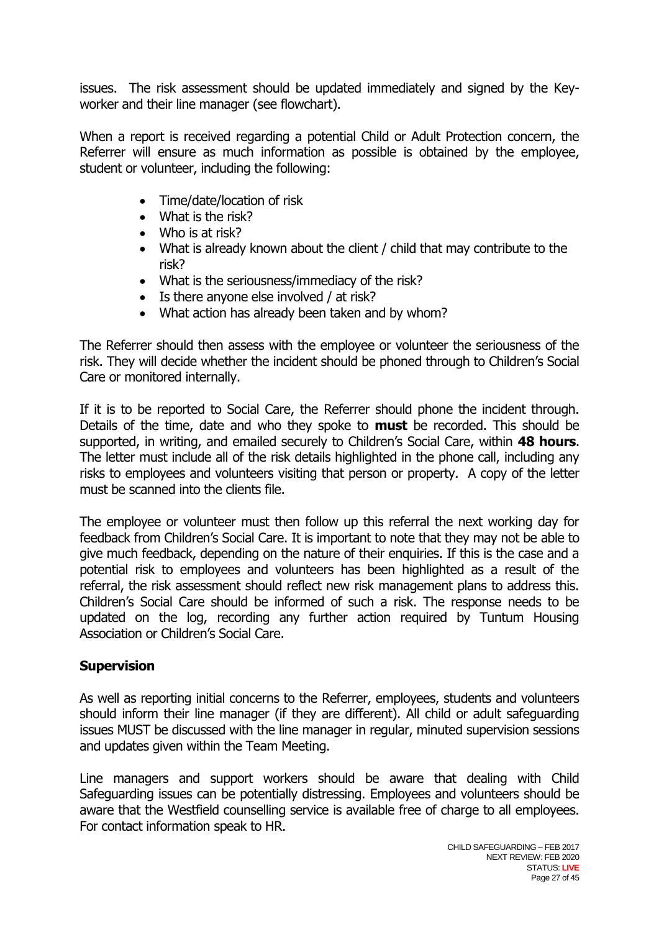issues. The risk assessment should be updated immediately and signed by the Keyworker and their line manager (see flowchart).

When a report is received regarding a potential Child or Adult Protection concern, the Referrer will ensure as much information as possible is obtained by the employee, student or volunteer, including the following:

- Time/date/location of risk
- What is the risk?
- Who is at risk?
- What is already known about the client / child that may contribute to the risk?
- What is the seriousness/immediacy of the risk?
- Is there anyone else involved / at risk?
- What action has already been taken and by whom?

The Referrer should then assess with the employee or volunteer the seriousness of the risk. They will decide whether the incident should be phoned through to Children's Social Care or monitored internally.

If it is to be reported to Social Care, the Referrer should phone the incident through. Details of the time, date and who they spoke to **must** be recorded. This should be supported, in writing, and emailed securely to Children's Social Care, within **48 hours**. The letter must include all of the risk details highlighted in the phone call, including any risks to employees and volunteers visiting that person or property. A copy of the letter must be scanned into the clients file.

The employee or volunteer must then follow up this referral the next working day for feedback from Children's Social Care. It is important to note that they may not be able to give much feedback, depending on the nature of their enquiries. If this is the case and a potential risk to employees and volunteers has been highlighted as a result of the referral, the risk assessment should reflect new risk management plans to address this. Children's Social Care should be informed of such a risk. The response needs to be updated on the log, recording any further action required by Tuntum Housing Association or Children's Social Care.

## **Supervision**

As well as reporting initial concerns to the Referrer, employees, students and volunteers should inform their line manager (if they are different). All child or adult safeguarding issues MUST be discussed with the line manager in regular, minuted supervision sessions and updates given within the Team Meeting.

Line managers and support workers should be aware that dealing with Child Safeguarding issues can be potentially distressing. Employees and volunteers should be aware that the Westfield counselling service is available free of charge to all employees. For contact information speak to HR.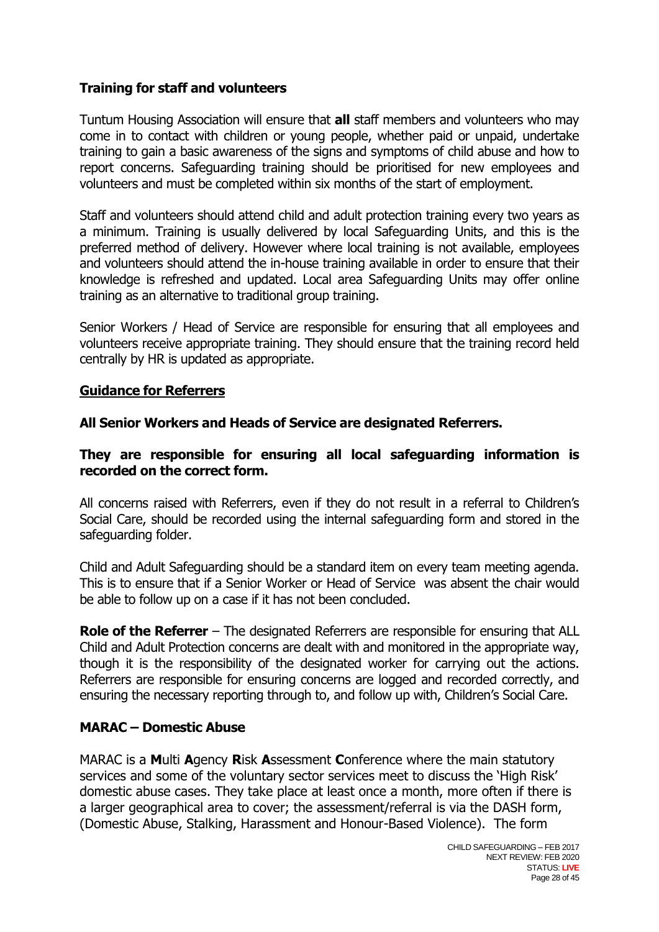## **Training for staff and volunteers**

Tuntum Housing Association will ensure that **all** staff members and volunteers who may come in to contact with children or young people, whether paid or unpaid, undertake training to gain a basic awareness of the signs and symptoms of child abuse and how to report concerns. Safeguarding training should be prioritised for new employees and volunteers and must be completed within six months of the start of employment.

Staff and volunteers should attend child and adult protection training every two years as a minimum. Training is usually delivered by local Safeguarding Units, and this is the preferred method of delivery. However where local training is not available, employees and volunteers should attend the in-house training available in order to ensure that their knowledge is refreshed and updated. Local area Safeguarding Units may offer online training as an alternative to traditional group training.

Senior Workers / Head of Service are responsible for ensuring that all employees and volunteers receive appropriate training. They should ensure that the training record held centrally by HR is updated as appropriate.

#### **Guidance for Referrers**

**All Senior Workers and Heads of Service are designated Referrers.**

#### **They are responsible for ensuring all local safeguarding information is recorded on the correct form.**

All concerns raised with Referrers, even if they do not result in a referral to Children's Social Care, should be recorded using the internal safeguarding form and stored in the safeguarding folder.

Child and Adult Safeguarding should be a standard item on every team meeting agenda. This is to ensure that if a Senior Worker or Head of Service was absent the chair would be able to follow up on a case if it has not been concluded.

**Role of the Referrer** – The designated Referrers are responsible for ensuring that ALL Child and Adult Protection concerns are dealt with and monitored in the appropriate way, though it is the responsibility of the designated worker for carrying out the actions. Referrers are responsible for ensuring concerns are logged and recorded correctly, and ensuring the necessary reporting through to, and follow up with, Children's Social Care.

## **MARAC – Domestic Abuse**

MARAC is a **M**ulti **A**gency **R**isk **A**ssessment **C**onference where the main statutory services and some of the voluntary sector services meet to discuss the 'High Risk' domestic abuse cases. They take place at least once a month, more often if there is a larger geographical area to cover; the assessment/referral is via the DASH form, (Domestic Abuse, Stalking, Harassment and Honour-Based Violence). The form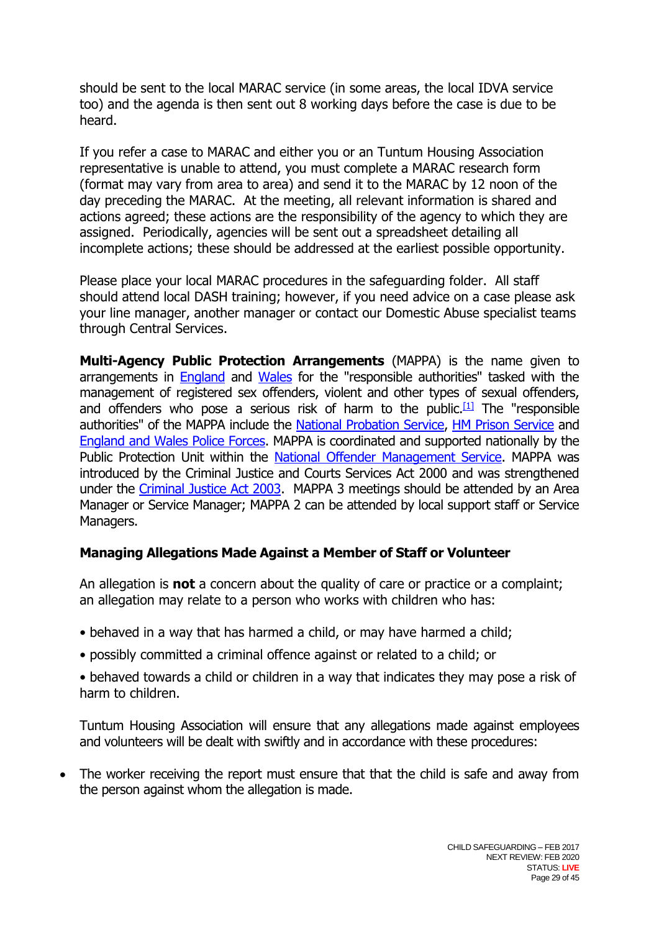should be sent to the local MARAC service (in some areas, the local IDVA service too) and the agenda is then sent out 8 working days before the case is due to be heard.

If you refer a case to MARAC and either you or an Tuntum Housing Association representative is unable to attend, you must complete a MARAC research form (format may vary from area to area) and send it to the MARAC by 12 noon of the day preceding the MARAC. At the meeting, all relevant information is shared and actions agreed; these actions are the responsibility of the agency to which they are assigned. Periodically, agencies will be sent out a spreadsheet detailing all incomplete actions; these should be addressed at the earliest possible opportunity.

Please place your local MARAC procedures in the safeguarding folder. All staff should attend local DASH training; however, if you need advice on a case please ask your line manager, another manager or contact our Domestic Abuse specialist teams through Central Services.

**Multi-Agency Public Protection Arrangements** (MAPPA) is the name given to arrangements in [England](http://en.wikipedia.org/wiki/England) and [Wales](http://en.wikipedia.org/wiki/Wales) for the "responsible authorities" tasked with the management of registered sex offenders, violent and other types of sexual offenders, and offenders who pose a serious risk of harm to the public.<sup>[\[1\]](http://en.wikipedia.org/wiki/Multi-Agency_Public_Protection_Arrangements#cite_note-0)</sup> The "responsible authorities" of the MAPPA include the [National Probation Service,](http://en.wikipedia.org/wiki/National_Probation_Service_(England_and_Wales)) [HM Prison Service](http://en.wikipedia.org/wiki/HM_Prison_Service) and [England and Wales Police Forces.](http://en.wikipedia.org/wiki/Policing_in_the_United_Kingdom) MAPPA is coordinated and supported nationally by the Public Protection Unit within the [National Offender Management Service.](http://en.wikipedia.org/wiki/National_Offender_Management_Service) MAPPA was introduced by the Criminal Justice and Courts Services Act 2000 and was strengthened under the [Criminal Justice Act 2003.](http://en.wikipedia.org/wiki/Criminal_Justice_Act_2003) MAPPA 3 meetings should be attended by an Area Manager or Service Manager; MAPPA 2 can be attended by local support staff or Service Managers.

## **Managing Allegations Made Against a Member of Staff or Volunteer**

An allegation is **not** a concern about the quality of care or practice or a complaint; an allegation may relate to a person who works with children who has:

- behaved in a way that has harmed a child, or may have harmed a child;
- possibly committed a criminal offence against or related to a child; or

• behaved towards a child or children in a way that indicates they may pose a risk of harm to children.

Tuntum Housing Association will ensure that any allegations made against employees and volunteers will be dealt with swiftly and in accordance with these procedures:

 The worker receiving the report must ensure that that the child is safe and away from the person against whom the allegation is made.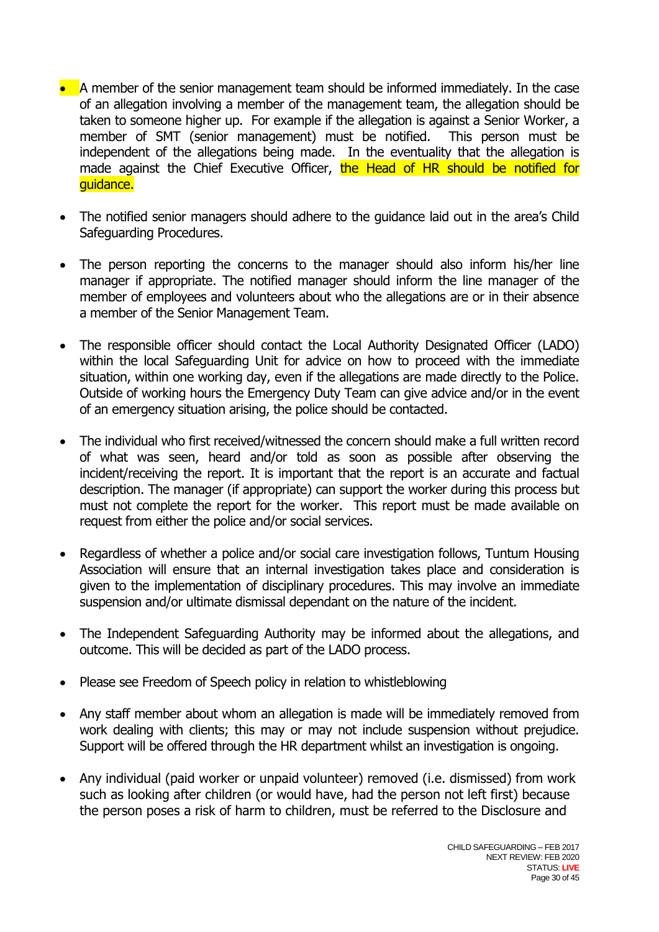- A member of the senior management team should be informed immediately. In the case of an allegation involving a member of the management team, the allegation should be taken to someone higher up. For example if the allegation is against a Senior Worker, a member of SMT (senior management) must be notified. This person must be independent of the allegations being made. In the eventuality that the allegation is made against the Chief Executive Officer, the Head of HR should be notified for guidance.
- The notified senior managers should adhere to the quidance laid out in the area's Child Safeguarding Procedures.
- The person reporting the concerns to the manager should also inform his/her line manager if appropriate. The notified manager should inform the line manager of the member of employees and volunteers about who the allegations are or in their absence a member of the Senior Management Team.
- The responsible officer should contact the Local Authority Designated Officer (LADO) within the local Safeguarding Unit for advice on how to proceed with the immediate situation, within one working day, even if the allegations are made directly to the Police. Outside of working hours the Emergency Duty Team can give advice and/or in the event of an emergency situation arising, the police should be contacted.
- The individual who first received/witnessed the concern should make a full written record of what was seen, heard and/or told as soon as possible after observing the incident/receiving the report. It is important that the report is an accurate and factual description. The manager (if appropriate) can support the worker during this process but must not complete the report for the worker. This report must be made available on request from either the police and/or social services.
- Regardless of whether a police and/or social care investigation follows, Tuntum Housing Association will ensure that an internal investigation takes place and consideration is given to the implementation of disciplinary procedures. This may involve an immediate suspension and/or ultimate dismissal dependant on the nature of the incident.
- The Independent Safeguarding Authority may be informed about the allegations, and outcome. This will be decided as part of the LADO process.
- Please see Freedom of Speech policy in relation to whistleblowing
- Any staff member about whom an allegation is made will be immediately removed from work dealing with clients; this may or may not include suspension without prejudice. Support will be offered through the HR department whilst an investigation is ongoing.
- Any individual (paid worker or unpaid volunteer) removed (i.e. dismissed) from work such as looking after children (or would have, had the person not left first) because the person poses a risk of harm to children, must be referred to the Disclosure and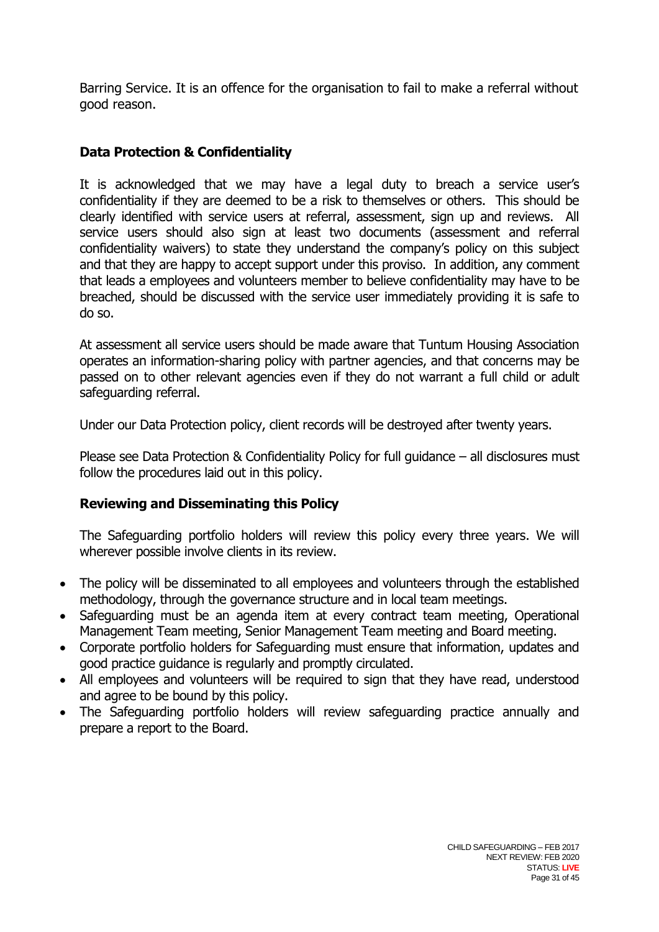Barring Service. It is an offence for the organisation to fail to make a referral without good reason.

## **Data Protection & Confidentiality**

It is acknowledged that we may have a legal duty to breach a service user's confidentiality if they are deemed to be a risk to themselves or others. This should be clearly identified with service users at referral, assessment, sign up and reviews. All service users should also sign at least two documents (assessment and referral confidentiality waivers) to state they understand the company's policy on this subject and that they are happy to accept support under this proviso. In addition, any comment that leads a employees and volunteers member to believe confidentiality may have to be breached, should be discussed with the service user immediately providing it is safe to do so.

At assessment all service users should be made aware that Tuntum Housing Association operates an information-sharing policy with partner agencies, and that concerns may be passed on to other relevant agencies even if they do not warrant a full child or adult safeguarding referral.

Under our Data Protection policy, client records will be destroyed after twenty years.

Please see Data Protection & Confidentiality Policy for full guidance – all disclosures must follow the procedures laid out in this policy.

## **Reviewing and Disseminating this Policy**

The Safeguarding portfolio holders will review this policy every three years. We will wherever possible involve clients in its review.

- The policy will be disseminated to all employees and volunteers through the established methodology, through the governance structure and in local team meetings.
- Safeguarding must be an agenda item at every contract team meeting, Operational Management Team meeting, Senior Management Team meeting and Board meeting.
- Corporate portfolio holders for Safeguarding must ensure that information, updates and good practice guidance is regularly and promptly circulated.
- All employees and volunteers will be required to sign that they have read, understood and agree to be bound by this policy.
- The Safeguarding portfolio holders will review safeguarding practice annually and prepare a report to the Board.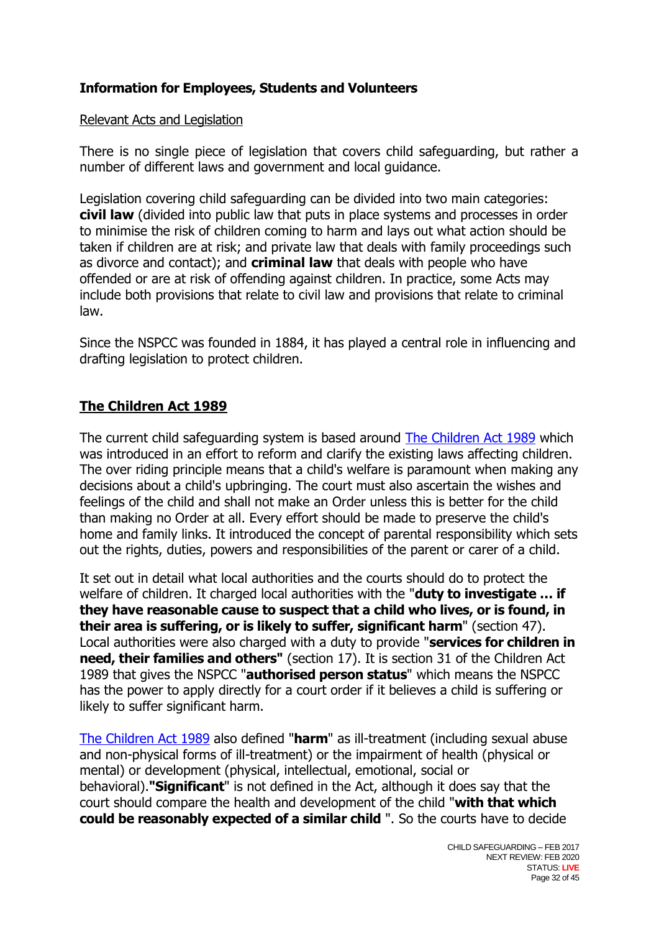## **Information for Employees, Students and Volunteers**

#### Relevant Acts and Legislation

There is no single piece of legislation that covers child safeguarding, but rather a number of different laws and government and local guidance.

Legislation covering child safeguarding can be divided into two main categories: **civil law** (divided into public law that puts in place systems and processes in order to minimise the risk of children coming to harm and lays out what action should be taken if children are at risk; and private law that deals with family proceedings such as divorce and contact); and **criminal law** that deals with people who have offended or are at risk of offending against children. In practice, some Acts may include both provisions that relate to civil law and provisions that relate to criminal law.

Since the NSPCC was founded in 1884, it has played a central role in influencing and drafting legislation to protect children.

## **The Children Act 1989**

The current child safeguarding system is based around [The Children Act 1989](http://www.opsi.gov.uk/acts/acts1989/Ukpga_19890041_en_1.htm) which was introduced in an effort to reform and clarify the existing laws affecting children. The over riding principle means that a child's welfare is paramount when making any decisions about a child's upbringing. The court must also ascertain the wishes and feelings of the child and shall not make an Order unless this is better for the child than making no Order at all. Every effort should be made to preserve the child's home and family links. It introduced the concept of parental responsibility which sets out the rights, duties, powers and responsibilities of the parent or carer of a child.

[It](http://www.opsi.gov.uk/acts/acts1989/Ukpga_19890041_en_1.htm) set out in detail what local authorities and the courts should do to protect the welfare of children. It charged local authorities with the "**duty to investigate … if they have reasonable cause to suspect that a child who lives, or is found, in their area is suffering, or is likely to suffer, significant harm**" (section 47). Local authorities were also charged with a duty to provide "**services for children in need, their families and others"** (section 17). It is section 31 of the Children Act 1989 that gives the NSPCC "**authorised person status**" which means the NSPCC has the power to apply directly for a court order if it believes a child is suffering or likely to suffer significant harm.

[The Children Act 1989](http://www.opsi.gov.uk/acts/acts1989/Ukpga_19890041_en_1.htm) also defined "**harm**" as ill-treatment (including sexual abuse and non-physical forms of ill-treatment) or the impairment of health (physical or mental) or development (physical, intellectual, emotional, social or behavioral).**"Significant**" is not defined in the Act, although it does say that the court should compare the health and development of the child "**with that which could be reasonably expected of a similar child** ". So the courts have to decide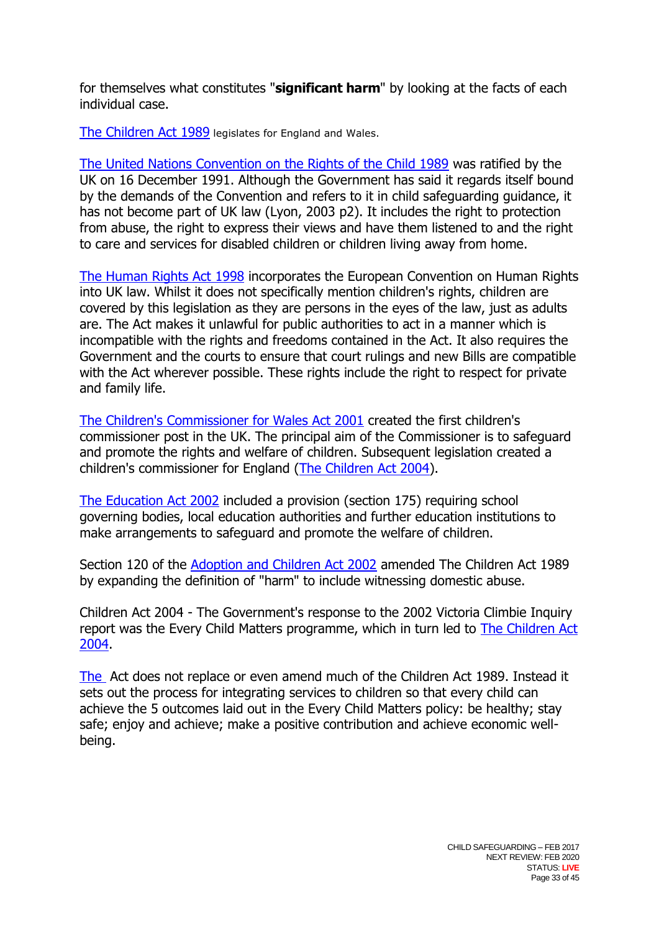for themselves what constitutes "**significant harm**" by looking at the facts of each individual case.

[The Children Act 1989](http://www.opsi.gov.uk/acts/acts1989/Ukpga_19890041_en_1.htm) legislates for England and Wales.

[The United Nations Convention on the Rights of the Child 1989](http://www.unhchr.ch/html/menu3/b/k2crc.htm) was ratified by the UK on 16 December 1991. Although the Government has said it regards itself bound by the demands of the Convention and refers to it in child safeguarding guidance, it has not become part of UK law (Lyon, 2003 p2). It includes the right to protection from abuse, the right to express their views and have them listened to and the right to care and services for disabled children or children living away from home.

[The Human Rights Act 1998](http://www.opsi.gov.uk/acts/acts1998/19980042.htm) incorporates the European Convention on Human Rights into UK law. Whilst it does not specifically mention children's rights, children are covered by this legislation as they are persons in the eyes of the law, just as adults are. The Act makes it unlawful for public authorities to act in a manner which is incompatible with the rights and freedoms contained in the Act. It also requires the Government and the courts to ensure that court rulings and new Bills are compatible with the Act wherever possible. These rights include the right to respect for private and family life.

[The Children's Commissioner for Wales Act 2001](http://www.opsi.gov.uk/acts/acts2001/20010018.htm) created the first children's commissioner post in the UK. The principal aim of the Commissioner is to safeguard and promote the rights and welfare of children. Subsequent legislation created a children's commissioner for England [\(The Children Act 2004\)](http://www.opsi.gov.uk/acts/acts2004/20040031.htm).

[The Education Act 2002](http://www.opsi.gov.uk/acts/acts2002/20020032.htm) included a provision (section 175) requiring school governing bodies, local education authorities and further education institutions to make arrangements to safeguard and promote the welfare of children.

Section 120 of the [Adoption and Children Act 2002](http://www.opsi.gov.uk/acts/acts2002/20020038.htm) amended The Children Act 1989 by expanding the definition of "harm" to include witnessing domestic abuse.

Children Act 2004 - The Government's response to the 2002 Victoria Climbie Inquiry report was the Every Child Matters programme, which in turn led to [The Children Act](http://www.opsi.gov.uk/acts/acts2004/20040031.htm)  [2004.](http://www.opsi.gov.uk/acts/acts2004/20040031.htm)

[The](http://www.opsi.gov.uk/acts/acts2004/20040031.htm) Act does not replace or even amend much of the Children Act 1989. Instead it sets out the process for integrating services to children so that every child can achieve the 5 outcomes laid out in the Every Child Matters policy: be healthy; stay safe; enjoy and achieve; make a positive contribution and achieve economic wellbeing.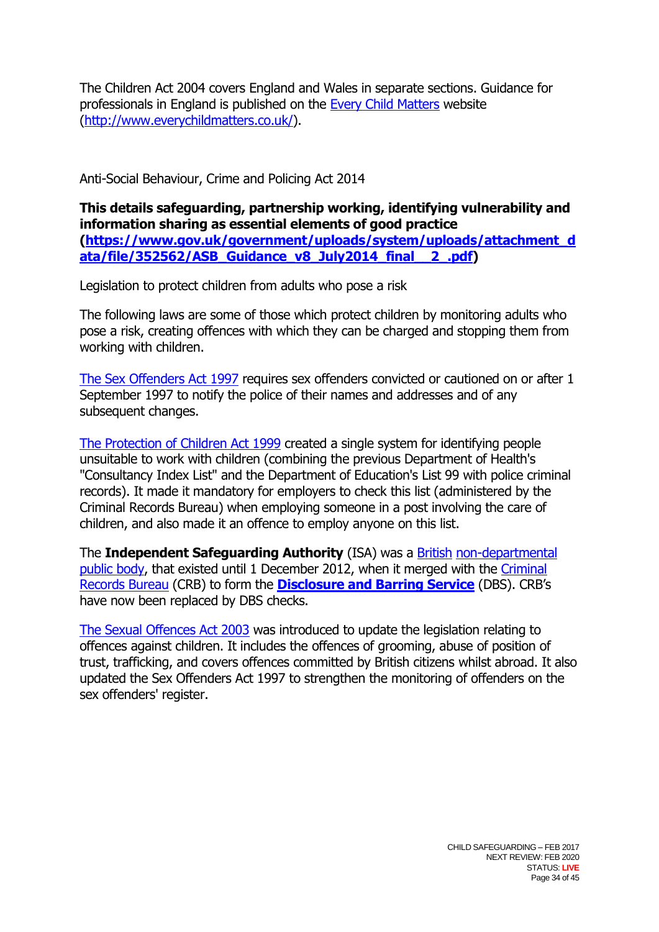The Children Act 2004 covers England and Wales in separate sections. Guidance for professionals in England is published on the [Every Child Matters](http://www.everychildmatters.gov.uk/) website [\(http://www.everychildmatters.co.uk/\)](http://www.everychildmatters.co.uk/).

Anti-Social Behaviour, Crime and Policing Act 2014

**This details safeguarding, partnership working, identifying vulnerability and information sharing as essential elements of good practice [\(https://www.gov.uk/government/uploads/system/uploads/attachment\\_d](https://www.gov.uk/government/uploads/system/uploads/attachment_data/file/352562/ASB_Guidance_v8_July2014_final__2_.pdf) [ata/file/352562/ASB\\_Guidance\\_v8\\_July2014\\_final\\_\\_2\\_.pdf\)](https://www.gov.uk/government/uploads/system/uploads/attachment_data/file/352562/ASB_Guidance_v8_July2014_final__2_.pdf)** 

Legislation to protect children from adults who pose a risk

The following laws are some of those which protect children by monitoring adults who pose a risk, creating offences with which they can be charged and stopping them from working with children.

[The Sex Offenders Act 1997](http://www.opsi.gov.uk/acts/acts1997/1997051.htm) requires sex offenders convicted or cautioned on or after 1 September 1997 to notify the police of their names and addresses and of any subsequent changes.

[The Protection of Children Act 1999](http://www.opsi.gov.uk/acts/acts1999/19990014.htm) created a single system for identifying people unsuitable to work with children (combining the previous Department of Health's "Consultancy Index List" and the Department of Education's List 99 with police criminal records). It made it mandatory for employers to check this list (administered by the Criminal Records Bureau) when employing someone in a post involving the care of children, and also made it an offence to employ anyone on this list.

The **Independent Safeguarding Authority** (ISA) was a [British](http://en.wikipedia.org/wiki/United_Kingdom) [non-departmental](http://en.wikipedia.org/wiki/Non-departmental_public_body)  [public body,](http://en.wikipedia.org/wiki/Non-departmental_public_body) that existed until 1 December 2012, when it merged with the [Criminal](http://en.wikipedia.org/wiki/Criminal_Records_Bureau)  [Records Bureau](http://en.wikipedia.org/wiki/Criminal_Records_Bureau) (CRB) to form the **[Disclosure and Barring Service](http://en.wikipedia.org/wiki/Disclosure_and_Barring_Service)** (DBS). CRB's have now been replaced by DBS checks.

[The Sexual Offences Act 2003](http://www.opsi.gov.uk/acts/acts2003/20030042.htm) was introduced to update the legislation relating to offences against children. It includes the offences of grooming, abuse of position of trust, trafficking, and covers offences committed by British citizens whilst abroad. It also updated the Sex Offenders Act 1997 to strengthen the monitoring of offenders on the sex offenders' register.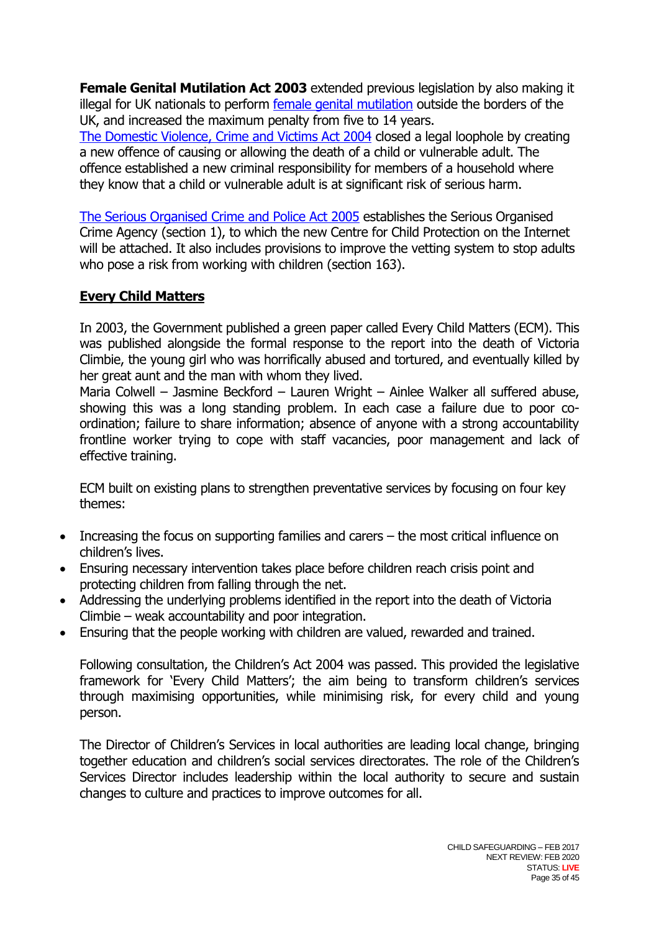**Female Genital Mutilation Act 2003** extended previous legislation by also making it illegal for UK nationals to perform [female genital mutilation](http://en.wikipedia.org/wiki/Female_genital_mutilation) outside the borders of the UK, and increased the maximum penalty from five to 14 years.

[The Domestic Violence, Crime and Victims Act 2004](http://www.opsi.gov.uk/acts/acts2004/20040028.htm) closed a legal loophole by creating a new offence of causing or allowing the death of a child or vulnerable adult. The offence established a new criminal responsibility for members of a household where they know that a child or vulnerable adult is at significant risk of serious harm.

[The Serious Organised Crime and Police Act 2005](http://www.opsi.gov.uk/acts/acts2005/20050015.htm) establishes the Serious Organised Crime Agency (section 1), to which the new Centre for Child Protection on the Internet will be attached. It also includes provisions to improve the vetting system to stop adults who pose a risk from working with children (section 163).

## **Every Child Matters**

In 2003, the Government published a green paper called Every Child Matters (ECM). This was published alongside the formal response to the report into the death of Victoria Climbie, the young girl who was horrifically abused and tortured, and eventually killed by her great aunt and the man with whom they lived.

Maria Colwell – Jasmine Beckford – Lauren Wright – Ainlee Walker all suffered abuse, showing this was a long standing problem. In each case a failure due to poor coordination; failure to share information; absence of anyone with a strong accountability frontline worker trying to cope with staff vacancies, poor management and lack of effective training.

ECM built on existing plans to strengthen preventative services by focusing on four key themes:

- Increasing the focus on supporting families and carers the most critical influence on children's lives.
- Ensuring necessary intervention takes place before children reach crisis point and protecting children from falling through the net.
- Addressing the underlying problems identified in the report into the death of Victoria Climbie – weak accountability and poor integration.
- Ensuring that the people working with children are valued, rewarded and trained.

Following consultation, the Children's Act 2004 was passed. This provided the legislative framework for 'Every Child Matters'; the aim being to transform children's services through maximising opportunities, while minimising risk, for every child and young person.

The Director of Children's Services in local authorities are leading local change, bringing together education and children's social services directorates. The role of the Children's Services Director includes leadership within the local authority to secure and sustain changes to culture and practices to improve outcomes for all.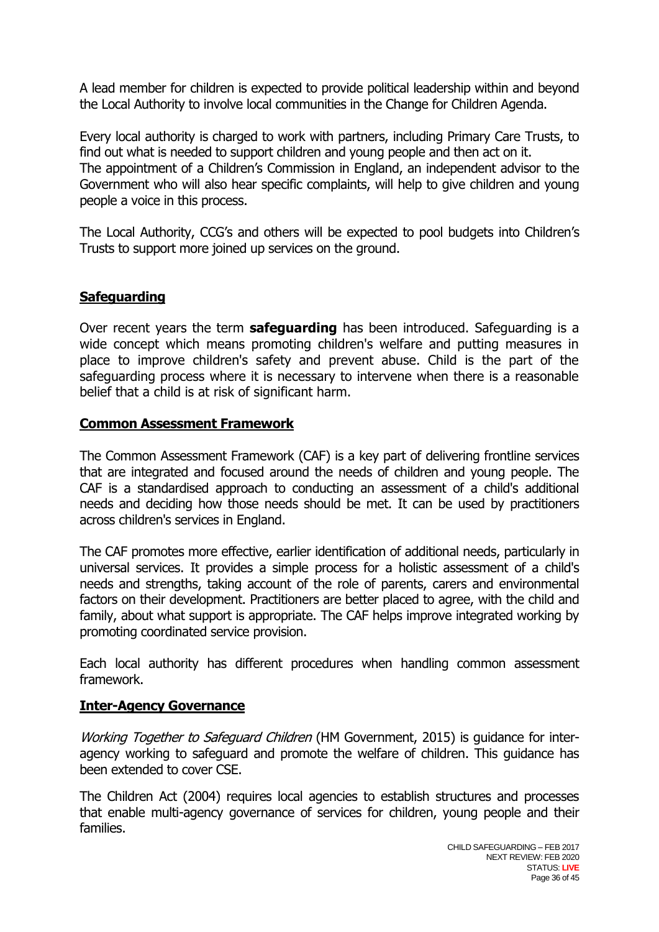A lead member for children is expected to provide political leadership within and beyond the Local Authority to involve local communities in the Change for Children Agenda.

Every local authority is charged to work with partners, including Primary Care Trusts, to find out what is needed to support children and young people and then act on it. The appointment of a Children's Commission in England, an independent advisor to the Government who will also hear specific complaints, will help to give children and young people a voice in this process.

The Local Authority, CCG's and others will be expected to pool budgets into Children's Trusts to support more joined up services on the ground.

## **Safeguarding**

Over recent years the term **safeguarding** has been introduced. Safeguarding is a wide concept which means promoting children's welfare and putting measures in place to improve children's safety and prevent abuse. Child is the part of the safeguarding process where it is necessary to intervene when there is a reasonable belief that a child is at risk of significant harm.

## **Common Assessment Framework**

The Common Assessment Framework (CAF) is a key part of delivering frontline services that are integrated and focused around the needs of children and young people. The CAF is a standardised approach to conducting an assessment of a child's additional needs and deciding how those needs should be met. It can be used by practitioners across children's services in England.

The CAF promotes more effective, earlier identification of additional needs, particularly in universal services. It provides a simple process for a holistic assessment of a child's needs and strengths, taking account of the role of parents, carers and environmental factors on their development. Practitioners are better placed to agree, with the child and family, about what support is appropriate. The CAF helps improve integrated working by promoting coordinated service provision.

Each local authority has different procedures when handling common assessment framework.

## **Inter-Agency Governance**

Working Together to Safeguard Children (HM Government, 2015) is quidance for interagency working to safeguard and promote the welfare of children. This guidance has been extended to cover CSE.

The Children Act (2004) requires local agencies to establish structures and processes that enable multi-agency governance of services for children, young people and their families.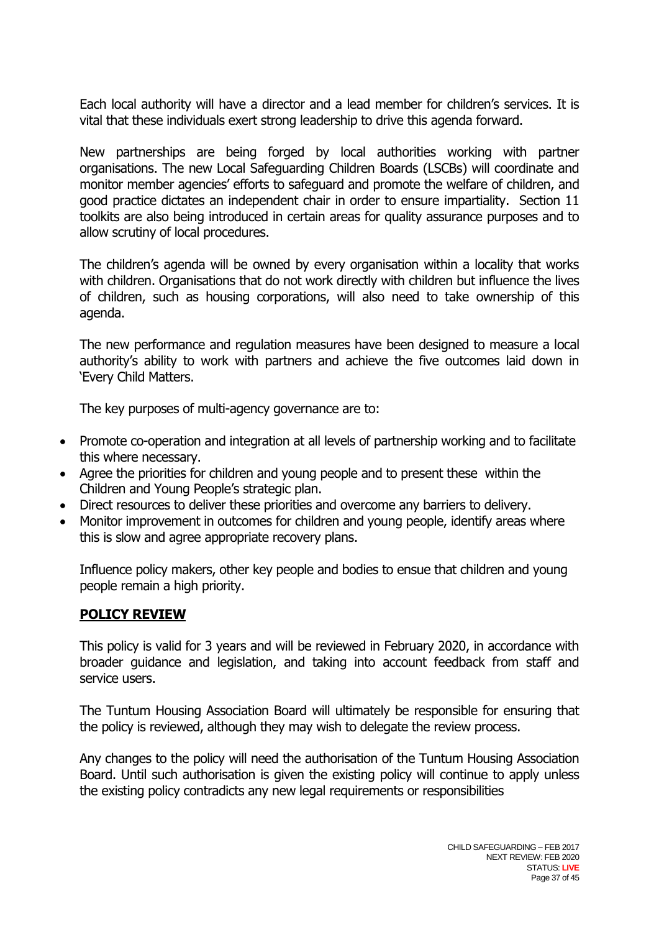Each local authority will have a director and a lead member for children's services. It is vital that these individuals exert strong leadership to drive this agenda forward.

New partnerships are being forged by local authorities working with partner organisations. The new Local Safeguarding Children Boards (LSCBs) will coordinate and monitor member agencies' efforts to safeguard and promote the welfare of children, and good practice dictates an independent chair in order to ensure impartiality. Section 11 toolkits are also being introduced in certain areas for quality assurance purposes and to allow scrutiny of local procedures.

The children's agenda will be owned by every organisation within a locality that works with children. Organisations that do not work directly with children but influence the lives of children, such as housing corporations, will also need to take ownership of this agenda.

The new performance and regulation measures have been designed to measure a local authority's ability to work with partners and achieve the five outcomes laid down in 'Every Child Matters.

The key purposes of multi-agency governance are to:

- Promote co-operation and integration at all levels of partnership working and to facilitate this where necessary.
- Agree the priorities for children and young people and to present these within the Children and Young People's strategic plan.
- Direct resources to deliver these priorities and overcome any barriers to delivery.
- Monitor improvement in outcomes for children and young people, identify areas where this is slow and agree appropriate recovery plans.

Influence policy makers, other key people and bodies to ensue that children and young people remain a high priority.

## **POLICY REVIEW**

This policy is valid for 3 years and will be reviewed in February 2020, in accordance with broader guidance and legislation, and taking into account feedback from staff and service users.

The Tuntum Housing Association Board will ultimately be responsible for ensuring that the policy is reviewed, although they may wish to delegate the review process.

Any changes to the policy will need the authorisation of the Tuntum Housing Association Board. Until such authorisation is given the existing policy will continue to apply unless the existing policy contradicts any new legal requirements or responsibilities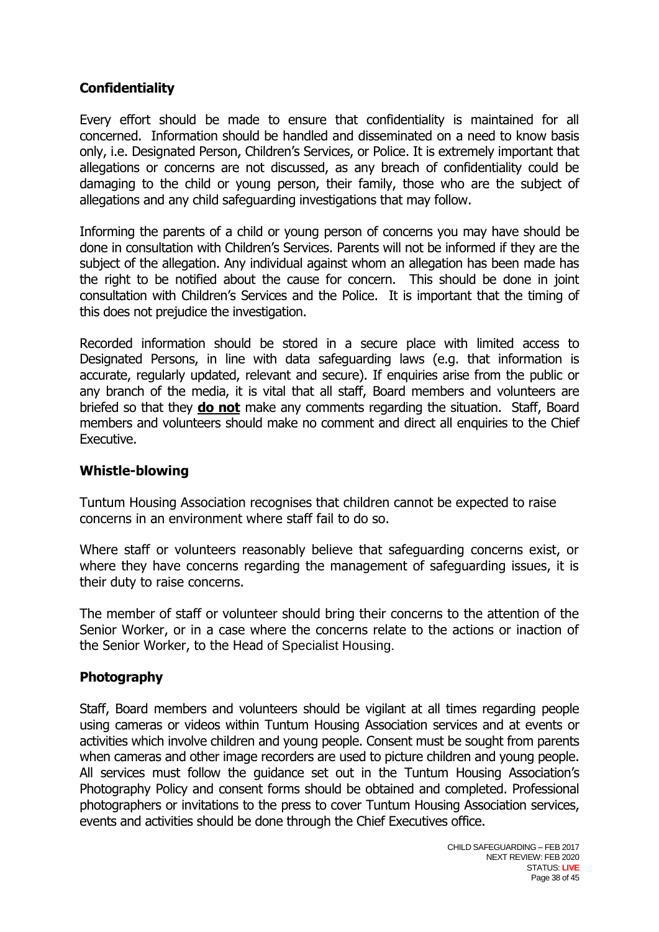## **Confidentiality**

Every effort should be made to ensure that confidentiality is maintained for all concerned. Information should be handled and disseminated on a need to know basis only, i.e. Designated Person, Children's Services, or Police. It is extremely important that allegations or concerns are not discussed, as any breach of confidentiality could be damaging to the child or young person, their family, those who are the subject of allegations and any child safeguarding investigations that may follow.

Informing the parents of a child or young person of concerns you may have should be done in consultation with Children's Services. Parents will not be informed if they are the subject of the allegation. Any individual against whom an allegation has been made has the right to be notified about the cause for concern. This should be done in joint consultation with Children's Services and the Police. It is important that the timing of this does not prejudice the investigation.

Recorded information should be stored in a secure place with limited access to Designated Persons, in line with data safeguarding laws (e.g. that information is accurate, regularly updated, relevant and secure). If enquiries arise from the public or any branch of the media, it is vital that all staff, Board members and volunteers are briefed so that they **do not** make any comments regarding the situation. Staff, Board members and volunteers should make no comment and direct all enquiries to the Chief Executive.

## **Whistle-blowing**

Tuntum Housing Association recognises that children cannot be expected to raise concerns in an environment where staff fail to do so.

Where staff or volunteers reasonably believe that safeguarding concerns exist, or where they have concerns regarding the management of safeguarding issues, it is their duty to raise concerns.

The member of staff or volunteer should bring their concerns to the attention of the Senior Worker, or in a case where the concerns relate to the actions or inaction of the Senior Worker, to the Head of Specialist Housing.

## **Photography**

Staff, Board members and volunteers should be vigilant at all times regarding people using cameras or videos within Tuntum Housing Association services and at events or activities which involve children and young people. Consent must be sought from parents when cameras and other image recorders are used to picture children and young people. All services must follow the guidance set out in the Tuntum Housing Association's Photography Policy and consent forms should be obtained and completed. Professional photographers or invitations to the press to cover Tuntum Housing Association services, events and activities should be done through the Chief Executives office.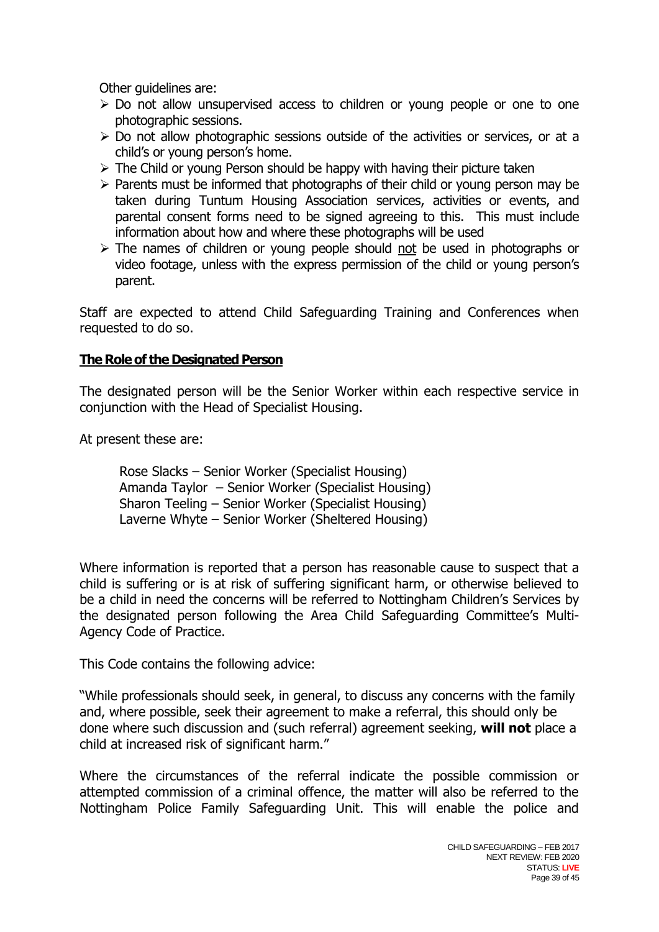Other guidelines are:

- $\geq$  Do not allow unsupervised access to children or young people or one to one photographic sessions.
- $\triangleright$  Do not allow photographic sessions outside of the activities or services, or at a child's or young person's home.
- $\triangleright$  The Child or young Person should be happy with having their picture taken
- $\triangleright$  Parents must be informed that photographs of their child or young person may be taken during Tuntum Housing Association services, activities or events, and parental consent forms need to be signed agreeing to this. This must include information about how and where these photographs will be used
- > The names of children or young people should not be used in photographs or video footage, unless with the express permission of the child or young person's parent.

Staff are expected to attend Child Safeguarding Training and Conferences when requested to do so.

## **The Role of the Designated Person**

The designated person will be the Senior Worker within each respective service in conjunction with the Head of Specialist Housing.

At present these are:

Rose Slacks – Senior Worker (Specialist Housing) Amanda Taylor – Senior Worker (Specialist Housing) Sharon Teeling – Senior Worker (Specialist Housing) Laverne Whyte – Senior Worker (Sheltered Housing)

Where information is reported that a person has reasonable cause to suspect that a child is suffering or is at risk of suffering significant harm, or otherwise believed to be a child in need the concerns will be referred to Nottingham Children's Services by the designated person following the Area Child Safeguarding Committee's Multi-Agency Code of Practice.

This Code contains the following advice:

"While professionals should seek, in general, to discuss any concerns with the family and, where possible, seek their agreement to make a referral, this should only be done where such discussion and (such referral) agreement seeking, **will not** place a child at increased risk of significant harm."

Where the circumstances of the referral indicate the possible commission or attempted commission of a criminal offence, the matter will also be referred to the Nottingham Police Family Safeguarding Unit. This will enable the police and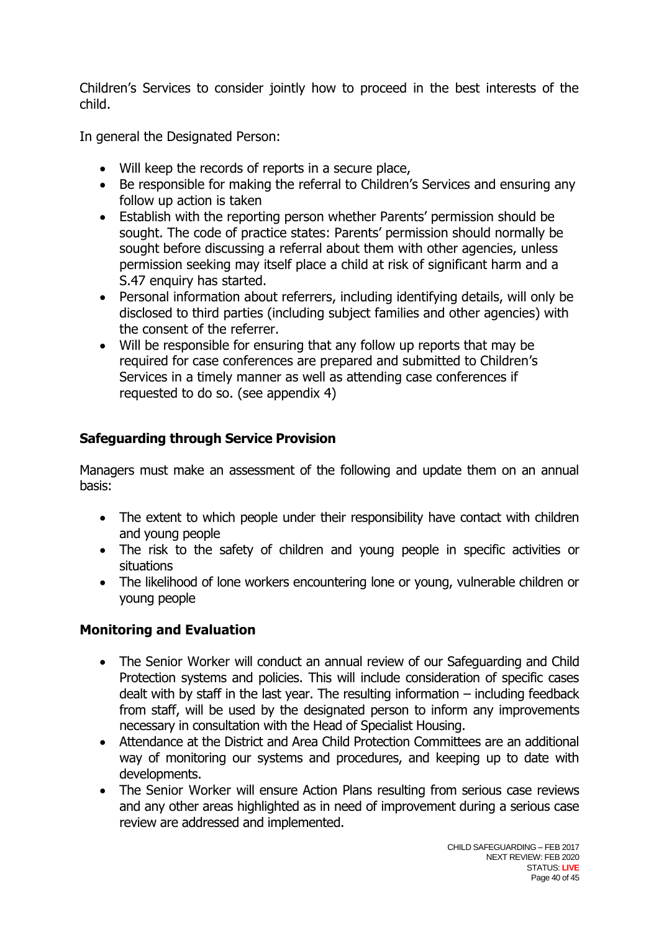Children's Services to consider jointly how to proceed in the best interests of the child.

In general the Designated Person:

- Will keep the records of reports in a secure place,
- Be responsible for making the referral to Children's Services and ensuring any follow up action is taken
- Establish with the reporting person whether Parents' permission should be sought. The code of practice states: Parents' permission should normally be sought before discussing a referral about them with other agencies, unless permission seeking may itself place a child at risk of significant harm and a S.47 enquiry has started.
- Personal information about referrers, including identifying details, will only be disclosed to third parties (including subject families and other agencies) with the consent of the referrer.
- Will be responsible for ensuring that any follow up reports that may be required for case conferences are prepared and submitted to Children's Services in a timely manner as well as attending case conferences if requested to do so. (see appendix 4)

# **Safeguarding through Service Provision**

Managers must make an assessment of the following and update them on an annual basis:

- The extent to which people under their responsibility have contact with children and young people
- The risk to the safety of children and young people in specific activities or situations
- The likelihood of lone workers encountering lone or young, vulnerable children or young people

# **Monitoring and Evaluation**

- The Senior Worker will conduct an annual review of our Safeguarding and Child Protection systems and policies. This will include consideration of specific cases dealt with by staff in the last year. The resulting information – including feedback from staff, will be used by the designated person to inform any improvements necessary in consultation with the Head of Specialist Housing.
- Attendance at the District and Area Child Protection Committees are an additional way of monitoring our systems and procedures, and keeping up to date with developments.
- The Senior Worker will ensure Action Plans resulting from serious case reviews and any other areas highlighted as in need of improvement during a serious case review are addressed and implemented.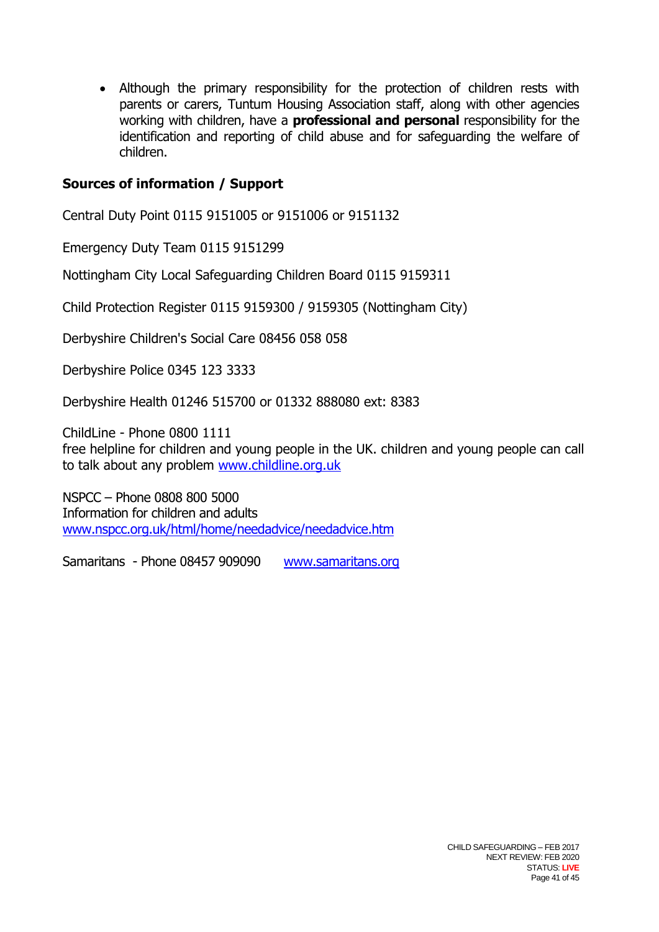Although the primary responsibility for the protection of children rests with parents or carers, Tuntum Housing Association staff, along with other agencies working with children, have a **professional and personal** responsibility for the identification and reporting of child abuse and for safeguarding the welfare of children.

## **Sources of information / Support**

Central Duty Point 0115 9151005 or 9151006 or 9151132

Emergency Duty Team 0115 9151299

Nottingham City Local Safeguarding Children Board 0115 9159311

Child Protection Register 0115 9159300 / 9159305 (Nottingham City)

Derbyshire Children's Social Care 08456 058 058

Derbyshire Police 0345 123 3333

Derbyshire Health 01246 515700 or 01332 888080 ext: 8383

ChildLine - Phone 0800 1111 free helpline for children and young people in the UK. children and young people can call to talk about any problem [www.childline.org.uk](http://www.childline.org.uk/)

NSPCC – Phone 0808 800 5000 Information for children and adults [www.nspcc.org.uk/html/home/needadvice/needadvice.htm](http://www.nspcc.org.uk/html/home/needadvice/needadvice.htm)

Samaritans - Phone 08457 909090 [www.samaritans.org](http://www.samaritans.org/)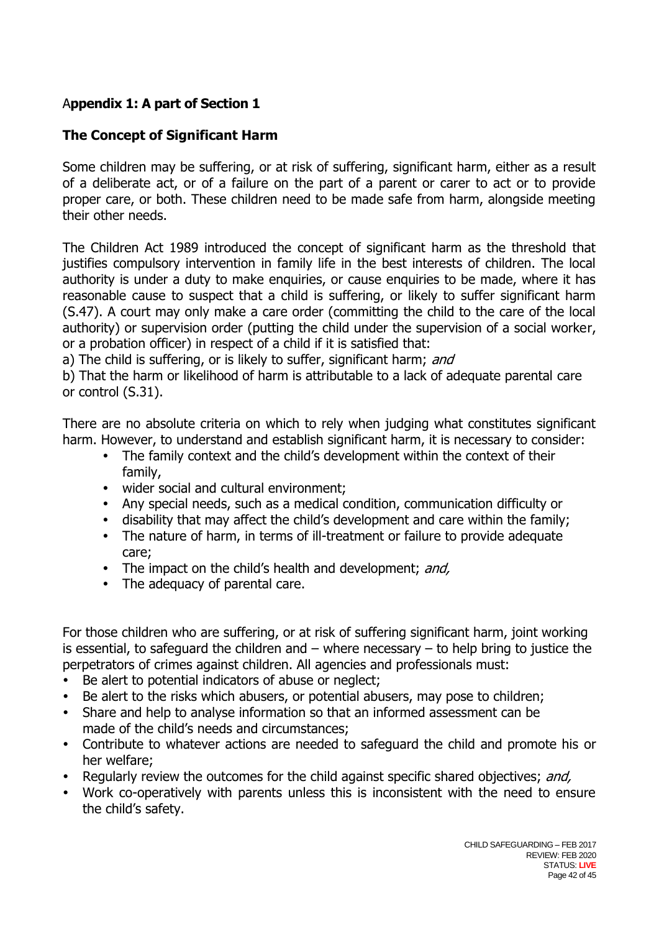## A**ppendix 1: A part of Section 1**

## **The Concept of Significant Harm**

Some children may be suffering, or at risk of suffering, significant harm, either as a result of a deliberate act, or of a failure on the part of a parent or carer to act or to provide proper care, or both. These children need to be made safe from harm, alongside meeting their other needs.

The Children Act 1989 introduced the concept of significant harm as the threshold that justifies compulsory intervention in family life in the best interests of children. The local authority is under a duty to make enquiries, or cause enquiries to be made, where it has reasonable cause to suspect that a child is suffering, or likely to suffer significant harm (S.47). A court may only make a care order (committing the child to the care of the local authority) or supervision order (putting the child under the supervision of a social worker, or a probation officer) in respect of a child if it is satisfied that:

a) The child is suffering, or is likely to suffer, significant harm; and

b) That the harm or likelihood of harm is attributable to a lack of adequate parental care or control (S.31).

There are no absolute criteria on which to rely when judging what constitutes significant harm. However, to understand and establish significant harm, it is necessary to consider:

- The family context and the child's development within the context of their family,
- wider social and cultural environment;
- Any special needs, such as a medical condition, communication difficulty or
- disability that may affect the child's development and care within the family;
- The nature of harm, in terms of ill-treatment or failure to provide adequate care;
- The impact on the child's health and development; and,
- The adequacy of parental care.

For those children who are suffering, or at risk of suffering significant harm, joint working is essential, to safeguard the children and  $-$  where necessary  $-$  to help bring to justice the perpetrators of crimes against children. All agencies and professionals must:

- Be alert to potential indicators of abuse or neglect;
- Be alert to the risks which abusers, or potential abusers, may pose to children;
- Share and help to analyse information so that an informed assessment can be made of the child's needs and circumstances;
- Contribute to whatever actions are needed to safeguard the child and promote his or her welfare;
- Regularly review the outcomes for the child against specific shared objectives; and,
- Work co-operatively with parents unless this is inconsistent with the need to ensure the child's safety.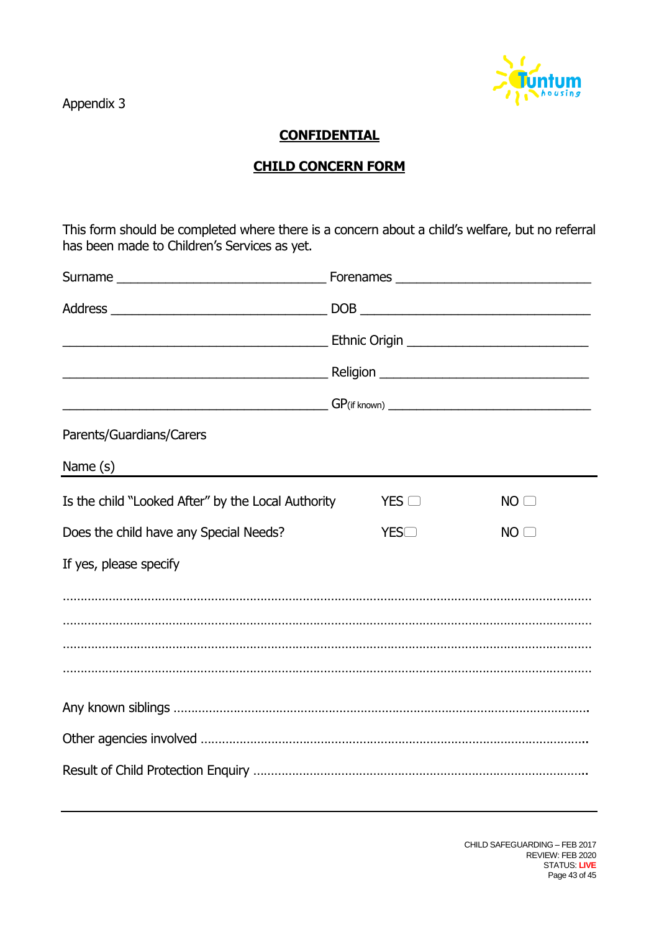Appendix 3



## **CONFIDENTIAL**

## **CHILD CONCERN FORM**

This form should be completed where there is a concern about a child's welfare, but no referral has been made to Children's Services as yet.

| Parents/Guardians/Carers                           |  |              |  |                 |  |
|----------------------------------------------------|--|--------------|--|-----------------|--|
| Name $(s)$                                         |  |              |  |                 |  |
| Is the child "Looked After" by the Local Authority |  | $YES$ $\Box$ |  | NO <sub>0</sub> |  |
| Does the child have any Special Needs?             |  | YES          |  | NO <sub>0</sub> |  |
| If yes, please specify                             |  |              |  |                 |  |
|                                                    |  |              |  |                 |  |
|                                                    |  |              |  |                 |  |
|                                                    |  |              |  |                 |  |
|                                                    |  |              |  |                 |  |
|                                                    |  |              |  |                 |  |
|                                                    |  |              |  |                 |  |
|                                                    |  |              |  |                 |  |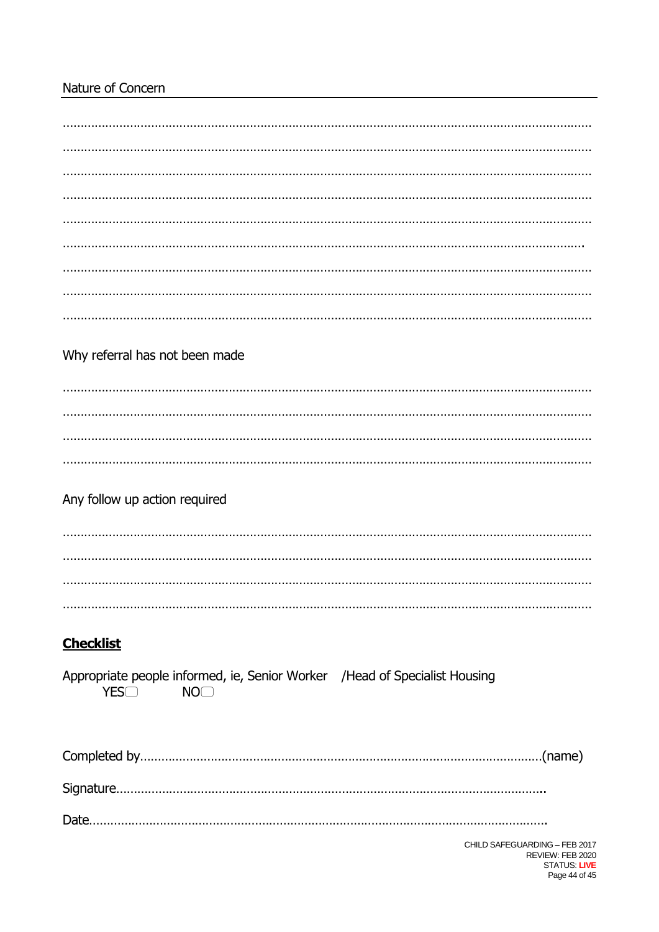# Nature of Concern

| Why referral has not been made                                                                         |  |
|--------------------------------------------------------------------------------------------------------|--|
|                                                                                                        |  |
|                                                                                                        |  |
|                                                                                                        |  |
|                                                                                                        |  |
| Any follow up action required                                                                          |  |
|                                                                                                        |  |
|                                                                                                        |  |
|                                                                                                        |  |
|                                                                                                        |  |
|                                                                                                        |  |
| <b>Checklist</b>                                                                                       |  |
| Appropriate people informed, ie, Senior Worker / Head of Specialist Housing<br>YESO<br>NO <sub>2</sub> |  |
|                                                                                                        |  |
|                                                                                                        |  |
|                                                                                                        |  |
| CHILD SAFEGUARDING - FEB 2017                                                                          |  |